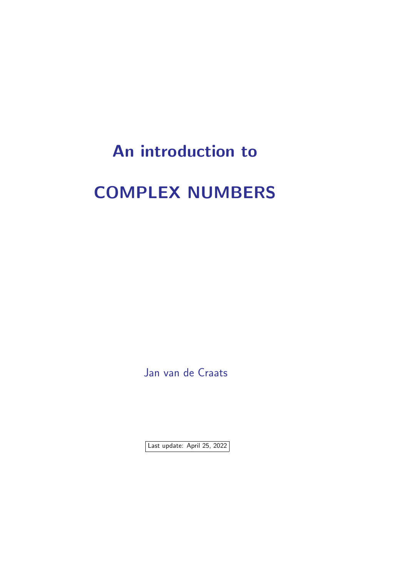### An introduction to

## COMPLEX NUMBERS

Jan van de Craats

Last update: April 25, 2022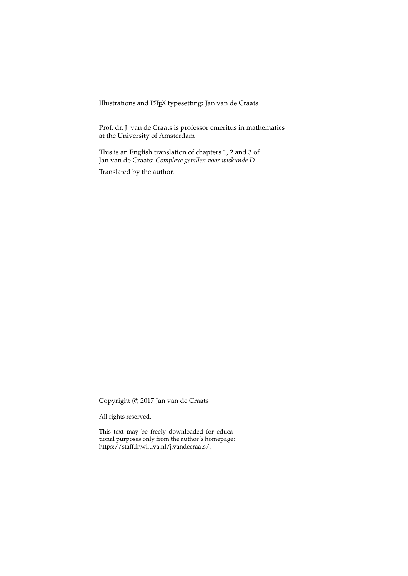Illustrations and LATEX typesetting: Jan van de Craats

Prof. dr. J. van de Craats is professor emeritus in mathematics at the University of Amsterdam

This is an English translation of chapters 1, 2 and 3 of Jan van de Craats: *Complexe getallen voor wiskunde D*

Translated by the author.

Copyright © 2017 Jan van de Craats

All rights reserved.

This text may be freely downloaded for educational purposes only from the author's homepage: https://staff.fnwi.uva.nl/j.vandecraats/.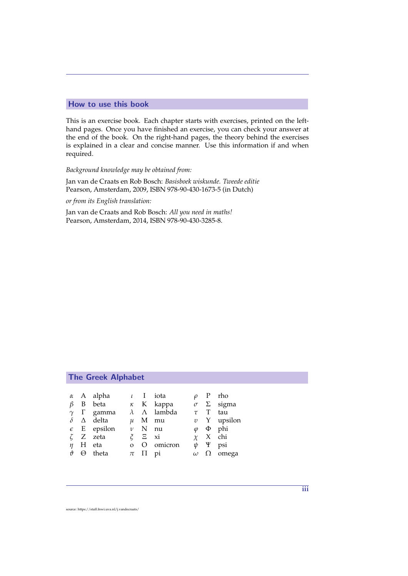#### How to use this book

This is an exercise book. Each chapter starts with exercises, printed on the lefthand pages. Once you have finished an exercise, you can check your answer at the end of the book. On the right-hand pages, the theory behind the exercises is explained in a clear and concise manner. Use this information if and when required.

*Background knowledge may be obtained from:*

Jan van de Craats en Rob Bosch: *Basisboek wiskunde. Tweede editie* Pearson, Amsterdam, 2009, ISBN 978-90-430-1673-5 (in Dutch)

*or from its English translation:*

Jan van de Craats and Rob Bosch: *All you need in maths!* Pearson, Amsterdam, 2014, ISBN 978-90-430-3285-8.

#### The Greek Alphabet

|  | $\alpha$ A alpha           |                | $\iota$ I iota             |  | $\rho$ P rho                |
|--|----------------------------|----------------|----------------------------|--|-----------------------------|
|  | $\beta$ B beta             |                | $\kappa$ K kappa           |  | $\sigma \quad \Sigma$ sigma |
|  | $\gamma$ $\Gamma$ gamma    |                | $\lambda$ $\Lambda$ lambda |  | $\tau$ T tau                |
|  | $\delta$ $\Delta$ delta    |                | $\mu$ M mu                 |  | $v Y$ upsilon               |
|  | $\epsilon$ E epsilon       |                | $\nu$ N nu                 |  | $\varphi$ $\Phi$ phi        |
|  | $\zeta$ Z zeta             |                | $\xi$ $\Xi$ $xi$           |  | $\chi$ X chi                |
|  | $\eta$ H eta               |                | o O omicron                |  | $\psi$ Y psi                |
|  | $\vartheta$ $\Theta$ theta | $\pi$ $\Pi$ pi |                            |  | $\omega \Omega$ omega       |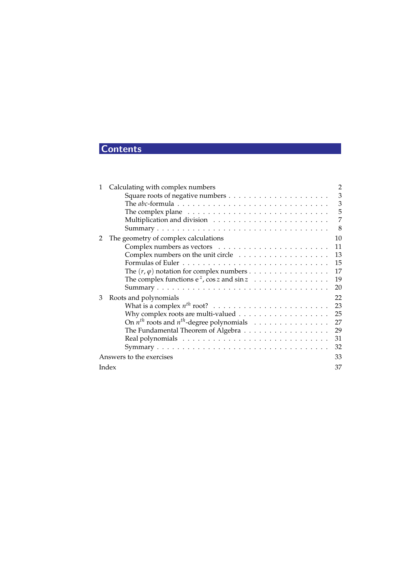#### **Contents**

| 1 | Calculating with complex numbers                                                        | 2  |
|---|-----------------------------------------------------------------------------------------|----|
|   |                                                                                         | 3  |
|   | The abc-formula $\ldots \ldots \ldots \ldots \ldots \ldots \ldots \ldots \ldots \ldots$ | 3  |
|   | The complex plane $\dots \dots \dots \dots \dots \dots \dots \dots \dots \dots \dots$   | 5  |
|   |                                                                                         | 7  |
|   |                                                                                         | 8  |
| 2 | The geometry of complex calculations                                                    | 10 |
|   |                                                                                         | 11 |
|   |                                                                                         | 13 |
|   |                                                                                         | 15 |
|   |                                                                                         | 17 |
|   | The complex functions $e^z$ , $\cos z$ and $\sin z$                                     | 19 |
|   |                                                                                         | 20 |
| 3 | Roots and polynomials                                                                   | 22 |
|   |                                                                                         | 23 |
|   |                                                                                         | 25 |
|   | On $n^{th}$ roots and $n^{th}$ -degree polynomials                                      | 27 |
|   | The Fundamental Theorem of Algebra                                                      | 29 |
|   |                                                                                         | 31 |
|   | $Symmary \ldots \ldots \ldots \ldots \ldots \ldots \ldots \ldots \ldots \ldots$         | 32 |
|   | Answers to the exercises                                                                | 33 |
|   | Index                                                                                   | 37 |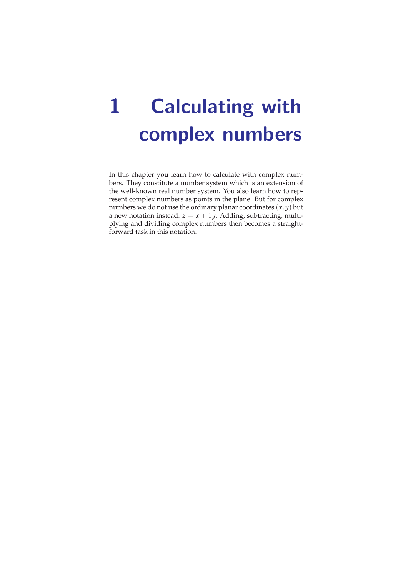# 1 Calculating with complex numbers

In this chapter you learn how to calculate with complex numbers. They constitute a number system which is an extension of the well-known real number system. You also learn how to represent complex numbers as points in the plane. But for complex numbers we do not use the ordinary planar coordinates  $(x, y)$  but a new notation instead:  $z = x + iy$ . Adding, subtracting, multiplying and dividing complex numbers then becomes a straightforward task in this notation.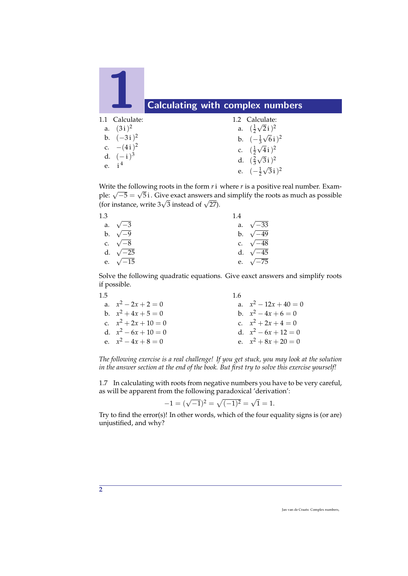# **1 Calculating with complex numbers**

| 1.1 Calculate: | 1.2 Calculate:                            |
|----------------|-------------------------------------------|
| a. $(3i)^2$    | a. $(\frac{1}{2}\sqrt{2}i)^2$             |
| b. $(-3i)^2$   | b. $\left(-\frac{1}{3}\sqrt{6}i\right)^2$ |
| c. $-(4i)^2$   | c. $(\frac{1}{2}\sqrt{4}i)^2$             |
| d. $(-i)^3$    | d. $(\frac{2}{3}\sqrt{3}i)^2$             |
| e. $i^4$       | e. $(-\frac{1}{2}\sqrt{3}i)^2$            |

Write the following roots in the form  $r$  i where  $r$  is a positive real number. Examwhile the following foots in the form *i* f where *i* is a positive real number. Exam-<br>ple:  $\sqrt{-5} = \sqrt{5}$  i. Give exact answers and simplify the roots as much as possible pie:  $\sqrt{-3} = \sqrt{31}$ . Give exact answers and the system of  $\sqrt{27}$ .

| 1.3 |                 | 14 |                 |
|-----|-----------------|----|-----------------|
|     | a. $\sqrt{-3}$  |    | a. $\sqrt{-33}$ |
|     | b. $\sqrt{-9}$  |    | b. $\sqrt{-49}$ |
|     | c. $\sqrt{-8}$  |    | c. $\sqrt{-48}$ |
|     | d. $\sqrt{-25}$ |    | d. $\sqrt{-45}$ |
|     | e. $\sqrt{-15}$ |    | e. $\sqrt{-75}$ |

Solve the following quadratic equations. Give eaxct answers and simplify roots if possible.

| 15 |                        | 16 |                        |
|----|------------------------|----|------------------------|
|    | a. $x^2-2x+2=0$        |    | a. $x^2-12x+40=0$      |
|    | b. $x^2 + 4x + 5 = 0$  |    | b. $x^2-4x+6=0$        |
|    | c. $x^2 + 2x + 10 = 0$ |    | c. $x^2 + 2x + 4 = 0$  |
|    | d. $x^2-6x+10=0$       |    | d. $x^2-6x+12=0$       |
|    | e. $x^2-4x+8=0$        |    | e. $x^2 + 8x + 20 = 0$ |
|    |                        |    |                        |

*The following exercise is a real challenge! If you get stuck, you may look at the solution in the answer section at the end of the book. But first try to solve this exercise yourself!*

1.7 In calculating with roots from negative numbers you have to be very careful, as will be apparent from the following paradoxical 'derivation':

$$
-1 = (\sqrt{-1})^2 = \sqrt{(-1)^2} = \sqrt{1} = 1.
$$

Try to find the error(s)! In other words, which of the four equality signs is (or are) unjustified, and why?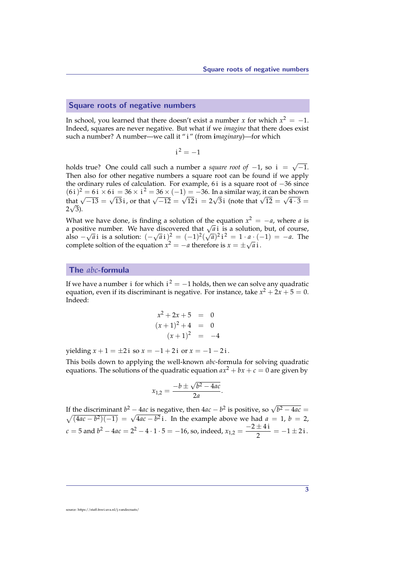#### Square roots of negative numbers

In school, you learned that there doesn't exist a number *x* for which  $x^2 = -1$ . Indeed, squares are never negative. But what if we *imagine* that there does exist such a number? A number—we call it " i " (from **i***maginary*)—for which

 $i^2 = -1$ 

holds true? One could call such a number a *square root of* −1, so i = √  $-1.$ Then also for other negative numbers a square root can be found if we apply the ordinary rules of calculation. For example, 6 i is a square root of −36 since  $(6 i)^2 = 6 i \times 6 i = 36 \times i^2 = 36 \times (-1) = -36$ . In a similar way, it can be shown that  $\sqrt{-13} = \sqrt{13} i$ , or that  $\sqrt{-12} = \sqrt{12} i = 2\sqrt{3} i$  (note that  $\sqrt{12} = \sqrt{4 \cdot 3} =$  $51 = 36 \times 1^{\circ} = 36 \times (-7)$ <br> $\sqrt{13}$  i, or that  $\sqrt{-12} =$ √  $12 i = 2$ In a simular way, it can<br> $\sqrt{3}i$  (note that  $\sqrt{12} =$  $^{\prime}$ e hat  $\sqrt{-13} = \sqrt{13}i$ , or that  $\sqrt{-12} = \sqrt{12}i = 2\sqrt{3}i$  (note that  $\sqrt{12} = \sqrt{4 \cdot 3} = \sqrt{4 \cdot 3}$ )  $2\sqrt{3}$ ).

What we have done, is finding a solution of the equation  $x^2 = -a$ , where *a* is what we have done, is finally a solution of the equation  $x^2 = -u$ , where u is<br>a positive number. We have discovered that  $\sqrt{a}$  i is a solution, but, of course, also  $-\sqrt{a}$  i is a solution:  $(-\sqrt{a}i)^2 = (-1)^2(\sqrt{a})^2i^2 = 1 \cdot a \cdot (-1) = -a$ . The also  $-\sqrt{u}$  i is a solution:  $(-\sqrt{u})^2 = (-1)^2(\sqrt{u})^2$  =  $1 \cdot u$ <br>complete soltion of the equation  $x^2 = -a$  therefore is  $x = \pm \sqrt{2a}$ *a* i .

#### The *abc*-formula

If we have a number i for which  $i^2 = -1$  holds, then we can solve any quadratic equation, even if its discriminant is negative. For instance, take  $x^2 + 2x + 5 = 0$ . Indeed:

$$
x2 + 2x + 5 = 0
$$
  
(x + 1)<sup>2</sup> + 4 = 0  
(x + 1)<sup>2</sup> = -4

yielding  $x + 1 = \pm 2i$  so  $x = -1 + 2i$  or  $x = -1 - 2i$ .

This boils down to applying the well-known *abc*-formula for solving quadratic equations. The solutions of the quadratic equation  $ax^2 + bx + c = 0$  are given by

$$
x_{1,2} = \frac{-b \pm \sqrt{b^2 - 4ac}}{2a}.
$$

If the discriminant  $b^2 - 4ac$  is negative, then  $4ac - b^2$  is positive, so  $\sqrt{b^2 - 4ac} =$ if the discriminant  $v^2 - 4ac$  is negative, then  $4ac - v^2$  is positive, so  $\sqrt{v^2 - 4ac} = \sqrt{(4ac - b^2)(-1)} = \sqrt{4ac - b^2}$  i. In the example above we had  $a = 1$ ,  $b = 2$ ,  $c = 5$  and  $b^2 - 4ac = 2^2 - 4 \cdot 1 \cdot 5 = -16$ , so, indeed,  $x_{1,2} = \frac{-2 \pm 4i}{2}$  $\frac{1}{2}$  =  $-1 \pm 2i$ .

|   | ٠ |        |
|---|---|--------|
|   | v |        |
|   |   |        |
|   |   |        |
|   |   | I<br>I |
| × |   | ۰.     |
|   |   |        |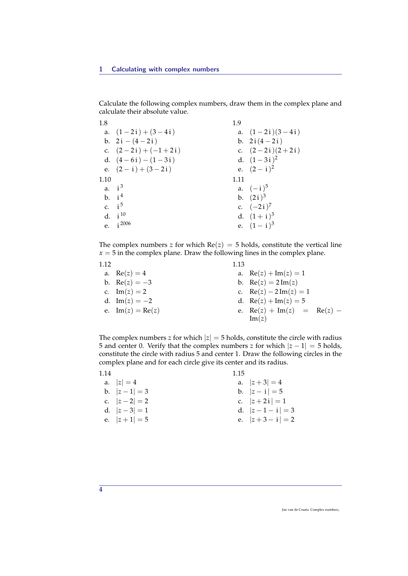Calculate the following complex numbers, draw them in the complex plane and calculate their absolute value.

|                              | 1.9               |
|------------------------------|-------------------|
| a. $(1-2i) + (3-4i)$         | a. $(1-2i)(3-4i)$ |
| b. $2i - (4 - 2i)$           | b. $2i(4-2i)$     |
| c. $(2-2i)+(-1+2i)$          | c. $(2-2i)(2+2i)$ |
| d. $(4-6i)-(1-3i)$           | d. $(1-3i)^2$     |
| e. $(2 - i) + (3 - 2i)$      | e. $(2 - i)^2$    |
|                              | 1.11              |
| a. $i^3$                     | a. $(-i)^5$       |
| b. $i^4$                     | b. $(2i)^3$       |
| c. $i^5$                     | c. $(-2i)^7$      |
|                              |                   |
| d. $i^{10}$<br>e. $i^{2006}$ | d. $(1+i)^3$      |
|                              |                   |

The complex numbers *z* for which  $Re(z) = 5$  holds, constitute the vertical line  $x = 5$  in the complex plane. Draw the following lines in the complex plane.

| 1.12 |                        | 1.13 |                              |
|------|------------------------|------|------------------------------|
|      | a. $Re(z) = 4$         |      | a. $Re(z) + Im(z) = 1$       |
|      | b. $Re(z) = -3$        |      | b. $Re(z) = 2 Im(z)$         |
|      | c. $Im(z) = 2$         |      | c. $Re(z) - 2Im(z) = 1$      |
|      | d. $Im(z) = -2$        |      | d. $Re(z) + Im(z) = 5$       |
|      | e. Im $(z)$ = Re $(z)$ |      | e. $Re(z) + Im(z) = Re(z) -$ |
|      |                        |      | Im(z)                        |

The complex numbers *z* for which  $|z| = 5$  holds, constitute the circle with radius 5 and center 0. Verify that the complex numbers *z* for which  $|z - 1| = 5$  holds, constitute the circle with radius 5 and center 1. Draw the following circles in the complex plane and for each circle give its center and its radius.

| 1 14 |              | 1.15 |                  |
|------|--------------|------|------------------|
|      | a. $ z =4$   |      | a. $ z+3 =4$     |
|      | b. $ z-1 =3$ |      | b. $ z - i  = 5$ |
|      | c. $ z-2 =2$ |      | c. $ z+2i =1$    |
|      | d. $ z-3 =1$ |      | d. $ z-1-i =3$   |
|      | e. $ z+1 =5$ |      | e. $ z+3-i =2$   |
|      |              |      |                  |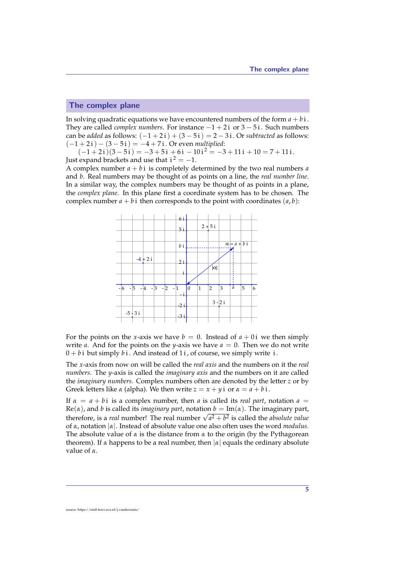#### The complex plane

In solving quadratic equations we have encountered numbers of the form  $a + bi$ . They are called *complex numbers*. For instance  $-1 + 2i$  or  $3 - 5i$ . Such numbers can be *added* as follows:  $(-1+2i) + (3-5i) = 2-3i$ . Or *subtracted* as follows:  $(-1+2i) - (3-5i) = -4+7i$ . Or even *multiplied*:

 $(-1+2i)(3-5i) = -3+5i+6i-10i^2 = -3+11i+10 = 7+11i$ . Just expand brackets and use that  $i^2 = -1$ .

A complex number  $a + bi$  is completely determined by the two real numbers  $a$ and *b*. Real numbers may be thought of as points on a line, the *real number line*. In a similar way, the complex numbers may be thought of as points in a plane, the *complex plane*. In this plane first a coordinate system has to be chosen. The complex number  $a + bi$  then corresponds to the point with coordinates  $(a, b)$ :



For the points on the *x*-axis we have  $b = 0$ . Instead of  $a + 0$  i we then simply write *a*. And for the points on the *y*-axis we have  $a = 0$ . Then we do not write  $0 + bi$  but simply *b* i. And instead of 1 i, of course, we simply write i.

The *x*-axis from now on will be called the *real axis* and the numbers on it the *real numbers*. The *y*-axis is called the *imaginary axis* and the numbers on it are called the *imaginary numbers*. Complex numbers often are denoted by the letter *z* or by Greek letters like  $\alpha$  (alpha). We then write  $z = x + y$  i or  $\alpha = a + bi$ .

If  $\alpha = a + bi$  is a complex number, then *a* is called its *real part*, notation  $a =$  $Re(\alpha)$ , and *b* is called its *imaginary part*, notation  $b = Im(\alpha)$ . The imaginary part,  $\text{Re}(\alpha)$ , and *b* is called its *imaginary part*, notation  $b = \text{Im}(\alpha)$ . The imaginary part, therefore, is a *real* number! The real number  $\sqrt{a^2 + b^2}$  is called the *absolute value* of *α*, notation |*α*|. Instead of absolute value one also often uses the word *modulus*. The absolute value of  $\alpha$  is the distance from  $\alpha$  to the origin (by the Pythagorean theorem). If *α* happens to be a real number, then |*α*| equals the ordinary absolute value of *α*.

**5**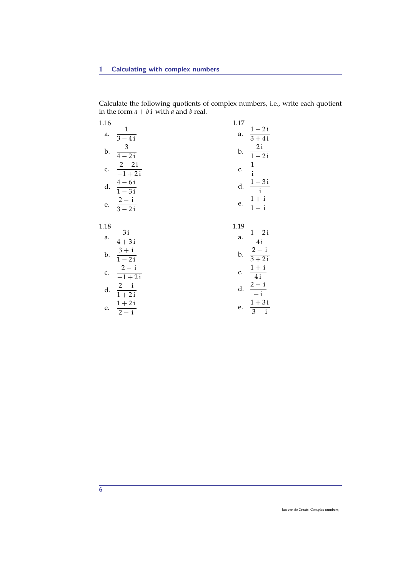Calculate the following quotients of complex numbers, i.e., write each quotient in the form  $a + bi$  with  $a$  and  $b$  real.

| 1.16 |                                | 1.17 |                         |
|------|--------------------------------|------|-------------------------|
| a.   | $\overline{3-4i}$              | a.   | $1-2i$<br>$3 + 4i$      |
| b.   | 3<br>$\overline{4-2i}$         | b.   | 2i<br>$\overline{1-2i}$ |
| c.   | $2 - 2i$<br>$\overline{-1+2i}$ | c.   | $\overline{i}$          |
| d.   | $4-6i$<br>$\overline{1-3i}$    | d.   | $1-3i$<br>$\ddot{i}$    |
| e.   | $2 - i$<br>$\overline{3-2i}$   | е.   | $1 + i$                 |

#### 1.18

| 1.18 |                              | 1.19 |                            |
|------|------------------------------|------|----------------------------|
| a.   | 3i<br>$4+3i$                 | a.   | $1-2i$<br>4i               |
| b.   | $3 + i$<br>$\overline{1-2i}$ | b.   | $2 - i$<br>$3 + 2i$        |
| c.   | $2 - i$<br>$-1+2i$           | c.   | $1 + i$<br>$\overline{4i}$ |
| d.   | $2 - i$<br>$\overline{1+2i}$ | d.   | $2 - i$<br>$-\overline{i}$ |
| e.   | $1+2i$<br>$\overline{2-i}$   | e.   | $1+3i$<br>$\overline{3-i}$ |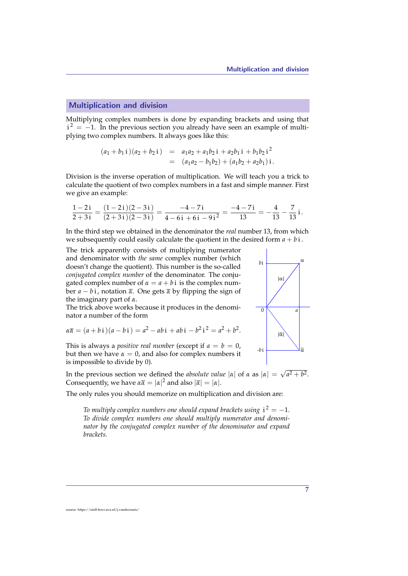#### Multiplication and division

Multiplying complex numbers is done by expanding brackets and using that  $i^2 = -1$ . In the previous section you already have seen an example of multiplying two complex numbers. It always goes like this:

$$
(a_1 + b_1 i)(a_2 + b_2 i) = a_1 a_2 + a_1 b_2 i + a_2 b_1 i + b_1 b_2 i^2
$$
  
= 
$$
(a_1 a_2 - b_1 b_2) + (a_1 b_2 + a_2 b_1) i.
$$

Division is the inverse operation of multiplication. We will teach you a trick to calculate the quotient of two complex numbers in a fast and simple manner. First we give an example:

$$
\frac{1-2i}{2+3i}=\frac{(1-2i)(2-3i)}{(2+3i)(2-3i)}=\frac{-4-7i}{4-6i+6i-9i^2}=\frac{-4-7i}{13}=-\frac{4}{13}-\frac{7}{13}i\,.
$$

In the third step we obtained in the denominator the *real* number 13, from which we subsequently could easily calculate the quotient in the desired form  $a + bi$ .

The trick apparently consists of multiplying numerator and denominator with *the same* complex number (which doesn't change the quotient). This number is the so-called *conjugated complex number* of the denominator. The conjugated complex number of  $\alpha = a + bi$  is the complex number  $a - bi$ , notation  $\bar{\alpha}$ . One gets  $\bar{\alpha}$  by flipping the sign of the imaginary part of *α*.

The trick above works because it produces in the denominator a number of the form

$$
\alpha \overline{a} = (a + bi)(a - bi) = a^2 - abi + abi - b^2i^2 = a^2 + b^2.
$$

This is always a *positive real number* (except if  $a = b = 0$ , but then we have  $\alpha = 0$ , and also for complex numbers it is impossible to divide by 0).

In the previous section we defined the *absolute value*  $|\alpha|$  of  $\alpha$  as  $|\alpha|$  =  $a^2 + b^2$ . Consequently, we have  $\alpha \bar{\alpha} = |\alpha|^2$  and also  $|\bar{\alpha}| = |\alpha|$ .

The only rules you should memorize on multiplication and division are:

To multiply complex numbers one should expand brackets using  $i^2 = -1$ . *To divide complex numbers one should multiply numerator and denominator by the conjugated complex number of the denominator and expand brackets.*

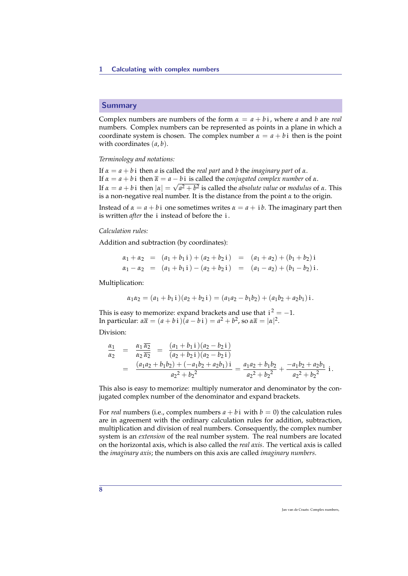#### 1 Calculating with complex numbers

#### Summary

Complex numbers are numbers of the form  $\alpha = a + bi$ , where *a* and *b* are *real* numbers. Complex numbers can be represented as points in a plane in which a coordinate system is chosen. The complex number  $\alpha = a + bi$  then is the point with coordinates (*a*, *b*).

#### *Terminology and notations:*

If  $α = a + bi$  then *a* is called the *real part* and *b* the *imaginary part* of  $α$ . If  $α = a + b$  i then  $\overline{α} = a - b$  i is called the *conjugated complex number* of *α*. If  $α = a + b$  i then  $|α| = \sqrt{a^2 + b^2}$  is called the *absolute value* or *modulus* of  $α$ . This is a non-negative real number. It is the distance from the point *α* to the origin.

Instead of  $\alpha = a + bi$  one sometimes writes  $\alpha = a + ib$ . The imaginary part then is written *after* the i instead of before the i .

#### *Calculation rules:*

Addition and subtraction (by coordinates):

$$
\begin{array}{rcl}\n\alpha_1 + \alpha_2 & = & (a_1 + b_1 \, \mathrm{i} \, ) + (a_2 + b_2 \, \mathrm{i} \, ) & = & (a_1 + a_2) + (b_1 + b_2) \, \mathrm{i} \\
\alpha_1 - \alpha_2 & = & (a_1 + b_1 \, \mathrm{i} \, ) - (a_2 + b_2 \, \mathrm{i} \, ) & = & (a_1 - a_2) + (b_1 - b_2) \, \mathrm{i} \, .\n\end{array}
$$

Multiplication:

$$
\alpha_1\alpha_2 = (a_1 + b_1 \mathbf{i})(a_2 + b_2 \mathbf{i}) = (a_1a_2 - b_1b_2) + (a_1b_2 + a_2b_1)\mathbf{i}.
$$

This is easy to memorize: expand brackets and use that  $i^2 = -1$ . In particular:  $a\overline{a} = (a + b i)(a - b i) = a^2 + b^2$ , so  $a\overline{a} = |\alpha|^2$ .

Division:

$$
\frac{\alpha_1}{\alpha_2} = \frac{\alpha_1 \overline{\alpha_2}}{\alpha_2 \overline{\alpha_2}} = \frac{(a_1 + b_1 i)(a_2 - b_2 i)}{(a_2 + b_2 i)(a_2 - b_2 i)}
$$
  
= 
$$
\frac{(a_1 a_2 + b_1 b_2) + (-a_1 b_2 + a_2 b_1) i}{a_2^2 + b_2^2} = \frac{a_1 a_2 + b_1 b_2}{a_2^2 + b_2^2} + \frac{-a_1 b_2 + a_2 b_1}{a_2^2 + b_2^2} i.
$$

This also is easy to memorize: multiply numerator and denominator by the conjugated complex number of the denominator and expand brackets.

For *real* numbers (i.e., complex numbers  $a + b$  i with  $b = 0$ ) the calculation rules are in agreement with the ordinary calculation rules for addition, subtraction, multiplication and division of real numbers. Consequently, the complex number system is an *extension* of the real number system. The real numbers are located on the horizontal axis, which is also called the *real axis*. The vertical axis is called the *imaginary axis*; the numbers on this axis are called *imaginary numbers*.

**8**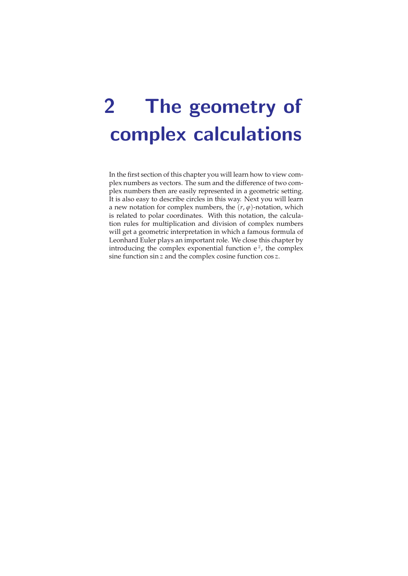## 2 The geometry of complex calculations

In the first section of this chapter you will learn how to view complex numbers as vectors. The sum and the difference of two complex numbers then are easily represented in a geometric setting. It is also easy to describe circles in this way. Next you will learn a new notation for complex numbers, the  $(r, \varphi)$ -notation, which is related to polar coordinates. With this notation, the calculation rules for multiplication and division of complex numbers will get a geometric interpretation in which a famous formula of Leonhard Euler plays an important role. We close this chapter by introducing the complex exponential function  $e^z$ , the complex sine function sin *z* and the complex cosine function cos *z*.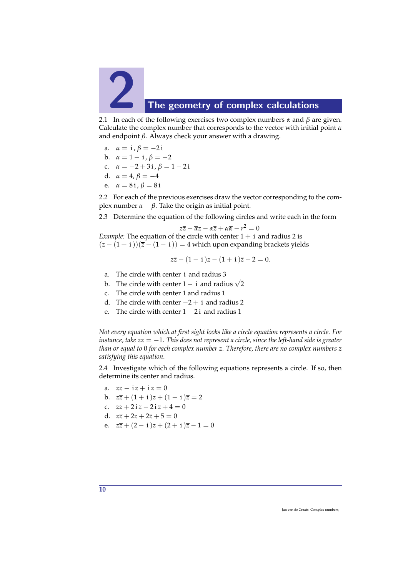

#### The geometry of complex calculations

2.1 In each of the following exercises two complex numbers  $\alpha$  and  $\beta$  are given. Calculate the complex number that corresponds to the vector with initial point *α* and endpoint *β*. Always check your answer with a drawing.

a.  $\alpha = i$ ,  $\beta = -2i$ **b**  $\overline{a}$   $\overline{b}$   $\overline{c}$   $\overline{b}$   $\overline{c}$   $\overline{d}$   $\overline{c}$   $\overline{d}$   $\overline{c}$   $\overline{c}$   $\overline{c}$   $\overline{c}$   $\overline{c}$   $\overline{c}$   $\overline{c}$   $\overline{c}$   $\overline{c}$   $\overline{c}$   $\overline{c}$   $\overline{c}$   $\overline{c}$   $\overline{c}$   $\overline{c}$   $\overline{c}$ 

b. 
$$
\alpha = 1 - 1, \beta = -2
$$

- c.  $\alpha = -2 + 3i$ ,  $\beta = 1 2i$
- d.  $\alpha = 4, \beta = -4$
- e.  $\alpha = 8i$ ,  $\beta = 8i$

2.2 For each of the previous exercises draw the vector corresponding to the complex number  $α + β$ . Take the origin as initial point.

2.3 Determine the equation of the following circles and write each in the form

$$
z\overline{z} - \overline{\alpha}z - \alpha \overline{z} + \alpha \overline{\alpha} - r^2 = 0
$$

*Example:* The equation of the circle with center  $1 + i$  and radius 2 is  $(z-(1+i))(\overline{z}-(1-i))=4$  which upon expanding brackets yields

$$
z\overline{z} - (1 - i)z - (1 + i)\overline{z} - 2 = 0.
$$

- a. The circle with center i and radius 3
- a. The circle with center 1 and radius 3<br>b. The circle with center  $1 i$  and radius  $\sqrt{2}$
- c. The circle with center 1 and radius 1
- d. The circle with center  $-2 + i$  and radius 2
- e. The circle with center  $1 2i$  and radius 1

*Not every equation which at first sight looks like a circle equation represents a circle. For instance, take zz* = −1*. This does not represent a circle, since the left-hand side is greater than or equal to* 0 *for each complex number z. Therefore, there are no complex numbers z satisfying this equation.*

2.4 Investigate which of the following equations represents a circle. If so, then determine its center and radius.

- a.  $z\overline{z} i z + i \overline{z} = 0$
- b.  $z\overline{z} + (1 + i)z + (1 i)\overline{z} = 2$
- c.  $z\bar{z} + 2iz 2i\bar{z} + 4 = 0$
- d.  $z\overline{z} + 2z + 2\overline{z} + 5 = 0$
- e.  $z\overline{z} + (2 i)z + (2 + i)\overline{z} 1 = 0$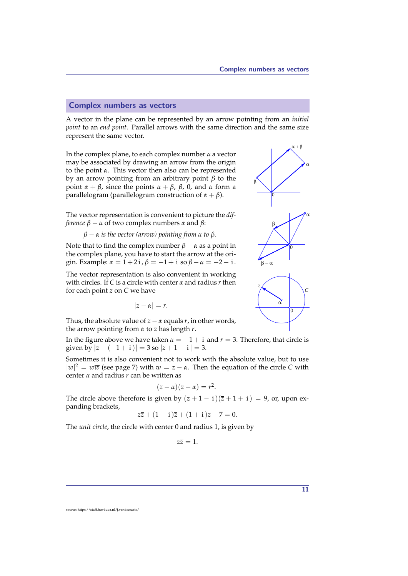#### Complex numbers as vectors

A vector in the plane can be represented by an arrow pointing from an *initial point* to an *end point*. Parallel arrows with the same direction and the same size represent the same vector.

In the complex plane, to each complex number *α* a vector may be associated by drawing an arrow from the origin to the point *α*. This vector then also can be represented by an arrow pointing from an arbitrary point *β* to the point  $α + β$ , since the points  $α + β$ ,  $β$ , 0, and  $α$  form a parallelogram (parallelogram construction of *α* + *β*).

The vector representation is convenient to picture the *difference*  $\beta - \alpha$  of two complex numbers  $\alpha$  and  $\beta$ :

 $β - α$  *is the vector (arrow) pointing from α to β.* 

Note that to find the complex number  $\beta - \alpha$  as a point in the complex plane, you have to start the arrow at the origin. Example:  $\alpha = 1 + 2i$ ,  $\beta = -1 + i$  so  $\beta - \alpha = -2 - i$ .

The vector representation is also convenient in working with circles. If *C* is a circle with center *α* and radius *r* then for each point *z* on *C* we have

$$
|z-\alpha|=r.
$$



α

 $\alpha + \beta$ 

Thus, the absolute value of  $z - \alpha$  equals  $r$ , in other words, the arrow pointing from *α* to *z* has length *r*.

In the figure above we have taken  $\alpha = -1 + i$  and  $r = 3$ . Therefore, that circle is given by  $|z - (-1 + i)| = 3$  so  $|z + 1 - i| = 3$ .

Sometimes it is also convenient not to work with the absolute value, but to use  $|w|^2 = w\overline{w}$  (see page 7) with  $w = z - \alpha$ . Then the equation of the circle *C* with center *α* and radius *r* can be written as

$$
(z-\alpha)(\overline{z}-\overline{\alpha})=r^2.
$$

The circle above therefore is given by  $(z + 1 - i)(\overline{z} + 1 + i) = 9$ , or, upon expanding brackets,

$$
z\overline{z} + (1 - i)\overline{z} + (1 + i)z - 7 = 0.
$$

The *unit circle*, the circle with center 0 and radius 1, is given by

$$
z\overline{z}=1.
$$

**11**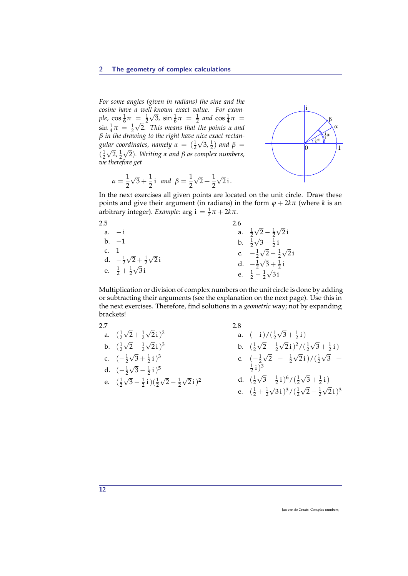#### 2 The geometry of complex calculations

*For some angles (given in radians) the sine and the cosine have a well-known exact value. For exam-*√ *ple,*  $\cos \frac{1}{6}\pi = \frac{1}{2}\sqrt{3}$ ,  $\sin \frac{1}{6}\pi = \frac{1}{2}$  and  $\cos \frac{1}{4}\pi =$  $\sin \frac{1}{4}\pi = \frac{1}{2}$ √ 2*. This means that the points α and β in the drawing to the right have nice exact rectan-*√ *gular coordinates, namely*  $\alpha = (\frac{1}{2}\sqrt{3}, \frac{1}{2})$  *and*  $\beta = (\frac{1}{2}\sqrt{3}, \frac{1}{2})$  $(\frac{1}{2}\sqrt{2}, \frac{1}{2}\sqrt{2})$ . Writing  $\alpha$  and  $\beta$  as complex numbers, *we therefore get*

$$
\alpha = \frac{1}{2}\sqrt{3} + \frac{1}{2}i
$$
 and  $\beta = \frac{1}{2}\sqrt{2} + \frac{1}{2}\sqrt{2}i$ .



Jan van de Craats: Complex numbers,

In the next exercises all given points are located on the unit circle. Draw these points and give their argument (in radians) in the form  $\varphi + 2k\pi$  (where *k* is an arbitrary integer). *Example:* arg  $i = \frac{1}{2}\pi + 2k\pi$ .

| 2.5    |                                                  | 2.6 |                                                  |
|--------|--------------------------------------------------|-----|--------------------------------------------------|
|        | $a. -i$                                          |     | a. $\frac{1}{2}\sqrt{2} - \frac{1}{2}\sqrt{2}i$  |
|        | $b. -1$                                          |     | b. $\frac{1}{2}\sqrt{3} - \frac{1}{2}i$          |
| c. $1$ |                                                  |     | c. $-\frac{1}{2}\sqrt{2} - \frac{1}{2}\sqrt{2}i$ |
|        | d. $-\frac{1}{2}\sqrt{2} + \frac{1}{2}\sqrt{2}i$ |     | d. $-\frac{1}{2}\sqrt{3} + \frac{1}{2}i$         |
|        | e. $\frac{1}{2} + \frac{1}{2}\sqrt{3}i$          |     | e. $\frac{1}{2} - \frac{1}{2}\sqrt{3}i$          |

Multiplication or division of complex numbers on the unit circle is done by adding or subtracting their arguments (see the explanation on the next page). Use this in the next exercises. Therefore, find solutions in a *geometric* way; not by expanding brackets!

2.8

| a. $(\frac{1}{2}\sqrt{2} + \frac{1}{2}\sqrt{2}i)^2$                                 | a. $(-i)/(\frac{1}{2}\sqrt{3}+\frac{1}{2}i)$                                                               |
|-------------------------------------------------------------------------------------|------------------------------------------------------------------------------------------------------------|
| b. $(\frac{1}{2}\sqrt{2}-\frac{1}{2}\sqrt{2}i)^3$                                   | b. $(\frac{1}{2}\sqrt{2}-\frac{1}{2}\sqrt{2}i)^2/(\frac{1}{2}\sqrt{3}+\frac{1}{2}i)$                       |
| c. $\left(-\frac{1}{2}\sqrt{3} + \frac{1}{2}i\right)^3$                             | c. $\left(-\frac{1}{2}\sqrt{2} - \frac{1}{2}\sqrt{2}i\right)/(\frac{1}{2}\sqrt{3} + \frac{1}{2}\sqrt{2}i)$ |
| d. $\left(-\frac{1}{2}\sqrt{3}-\frac{1}{2}i\right)^5$                               | $(\frac{1}{2}i)^3$                                                                                         |
| e. $(\frac{1}{2}\sqrt{3}-\frac{1}{2}i)(\frac{1}{2}\sqrt{2}-\frac{1}{2}\sqrt{2}i)^2$ | d. $(\frac{1}{2}\sqrt{3}-\frac{1}{2}i)^6/(\frac{1}{2}\sqrt{3}+\frac{1}{2}i)$                               |
|                                                                                     | e. $(\frac{1}{2} + \frac{1}{2}\sqrt{3}i)^3/(\frac{1}{2}\sqrt{2} - \frac{1}{2}\sqrt{2}i)^3$                 |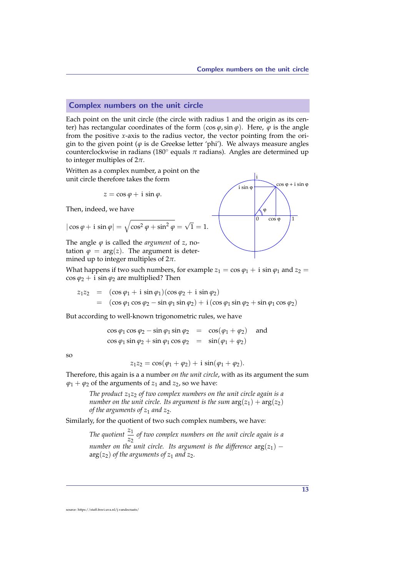#### Complex numbers on the unit circle

Each point on the unit circle (the circle with radius 1 and the origin as its center) has rectangular coordinates of the form  $(\cos \varphi, \sin \varphi)$ . Here,  $\varphi$  is the angle from the positive *x*-axis to the radius vector, the vector pointing from the origin to the given point ( $\varphi$  is de Greekse letter 'phi'). We always measure angles counterclockwise in radians (180° equals  $\pi$  radians). Angles are determined up to integer multiples of 2*π*.

Written as a complex number, a point on the unit circle therefore takes the form

$$
z = \cos \varphi + i \sin \varphi.
$$

Then, indeed, we have

source: https://staff.fnwi.uva.nl/j.vandecraats/

$$
|\cos\varphi + i\sin\varphi| = \sqrt{\cos^2\varphi + \sin^2\varphi} = \sqrt{1} = 1.
$$

The angle  $\varphi$  is called the *argument* of *z*, notation  $\varphi = \arg(z)$ . The argument is determined up to integer multiples of 2*π*.

What happens if two such numbers, for example  $z_1 = \cos \varphi_1 + i \sin \varphi_1$  and  $z_2 =$  $\cos \varphi_2 + i \sin \varphi_2$  are multiplied? Then

$$
z_1 z_2 = (\cos \varphi_1 + i \sin \varphi_1)(\cos \varphi_2 + i \sin \varphi_2)
$$
  
= 
$$
(\cos \varphi_1 \cos \varphi_2 - \sin \varphi_1 \sin \varphi_2) + i (\cos \varphi_1 \sin \varphi_2 + \sin \varphi_1 \cos \varphi_2)
$$

But according to well-known trigonometric rules, we have

$$
\cos \varphi_1 \cos \varphi_2 - \sin \varphi_1 \sin \varphi_2 = \cos(\varphi_1 + \varphi_2) \text{ and } \cos \varphi_1 \sin \varphi_2 + \sin \varphi_1 \cos \varphi_2 = \sin(\varphi_1 + \varphi_2)
$$

so

$$
z_1 z_2 = \cos(\varphi_1 + \varphi_2) + i \sin(\varphi_1 + \varphi_2).
$$

Therefore, this again is a a number *on the unit circle*, with as its argument the sum  $\varphi_1 + \varphi_2$  of the arguments of  $z_1$  and  $z_2$ , so we have:

*The product*  $z_1z_2$  *of two complex numbers on the unit circle again is a number on the unit circle. Its argument is the sum*  $\arg(z_1) + \arg(z_2)$ *of the arguments of*  $z_1$  *and*  $z_2$ *.* 

Similarly, for the quotient of two such complex numbers, we have:

*The quotient <sup>z</sup>*<sup>1</sup>  $\frac{21}{z_2}$  *of two complex numbers on the unit circle again is a number on the unit circle. Its argument is the difference*  $arg(z_1)$  –  $arg(z_2)$  *of the arguments of*  $z_1$  *and*  $z_2$ *.* 

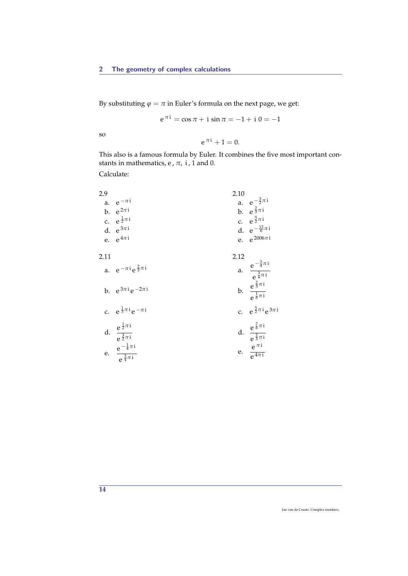By substituting  $\varphi = \pi$  in Euler's formula on the next page, we get:

$$
e^{\pi i} = \cos \pi + i \sin \pi = -1 + i 0 = -1
$$

so

$$
e^{\pi i} + 1 = 0.
$$

This also is a famous formula by Euler. It combines the five most important constants in mathematics, e,  $\pi$ , i, 1 and 0.

Calculate:

| 2.9  |                                                         | 2.10 |                                                         |
|------|---------------------------------------------------------|------|---------------------------------------------------------|
|      | a. $e^{-\pi i}$                                         |      | a. $e^{-\frac{3}{2}\pi i}$                              |
|      | b. $e^{2\pi i}$                                         |      | b. $e^{\frac{2}{3}\pi i}$                               |
|      | c. $e^{\frac{1}{2}\pi i}$                               |      | c. $e^{\frac{5}{2}\pi i}$                               |
|      | d. $e^{3\pi i}$                                         |      | d. $e^{-\frac{13}{6}\pi i}$                             |
|      | e. $e^{4\pi i}$                                         |      | e. $e^{2006\pi i}$                                      |
| 2.11 |                                                         | 2.12 |                                                         |
|      | a. $e^{-\pi i} e^{\frac{2}{3}\pi i}$                    |      | a. $\frac{e^{-\frac{3}{4}\pi i}}{e^{\frac{3}{4}\pi i}}$ |
|      | b. $e^{3\pi i}e^{-2\pi i}$                              |      | b. $\frac{e^{\frac{2}{3}\pi i}}{e^{\frac{1}{6}\pi i}}$  |
|      | c. $e^{\frac{1}{3}\pi i}e^{-\pi i}$                     |      | c. $e^{\frac{5}{2}\pi i}e^{3\pi i}$                     |
|      | d. $\frac{e^{\frac{1}{2}\pi i}}{e^{\frac{3}{2}\pi i}}$  |      | d. $\frac{e^{\frac{7}{6}\pi i}}{e^{\frac{2}{3}\pi i}}$  |
|      | e. $\frac{e^{-\frac{1}{4}\pi i}}{e^{\frac{3}{4}\pi i}}$ |      | e. $\frac{e^{\pi i}}{e^{4\pi i}}$                       |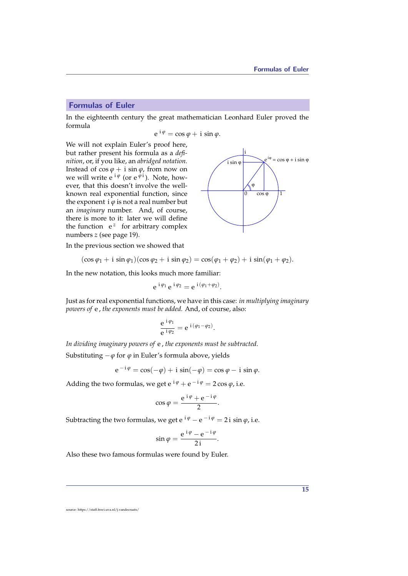#### Formulas of Euler

In the eighteenth century the great mathematician Leonhard Euler proved the formula

 $e^{\,i\,\phi} = \cos\varphi + i\,\sin\varphi.$ 

We will not explain Euler's proof here, but rather present his formula as a *definition*, or, if you like, an *abridged notation.* Instead of  $\cos \varphi + i \sin \varphi$ , from now on we will write  $e^{i\varphi}$  (or  $e^{\varphi i}$ ). Note, however, that this doesn't involve the wellknown real exponential function, since the exponent  $i \varphi$  is not a real number but an *imaginary* number. And, of course, there is more to it: later we will define the function  $e^z$  for arbitrary complex numbers *z* (see page 19).



In the previous section we showed that

$$
(\cos \varphi_1 + i \sin \varphi_1)(\cos \varphi_2 + i \sin \varphi_2) = \cos(\varphi_1 + \varphi_2) + i \sin(\varphi_1 + \varphi_2).
$$

In the new notation, this looks much more familiar:

$$
e^{i\varphi_1}e^{i\varphi_2}=e^{i(\varphi_1+\varphi_2)}.
$$

Just as for real exponential functions, we have in this case: *in multiplying imaginary powers of* e , *the exponents must be added.* And, of course, also:

$$
\frac{e^{i\varphi_1}}{e^{i\varphi_2}}=e^{i(\varphi_1-\varphi_2)}.
$$

*In dividing imaginary powers of* e , *the exponents must be subtracted.*

Substituting −*ϕ* for *ϕ* in Euler's formula above, yields

$$
e^{-i\varphi} = \cos(-\varphi) + i\sin(-\varphi) = \cos\varphi - i\sin\varphi.
$$

Adding the two formulas, we get e <sup>i  $\varphi$ </sup> + e <sup>- i  $\varphi$ </sup> = 2 cos  $\varphi$ , i.e.

$$
\cos\varphi=\frac{e^{i\varphi}+e^{-i\varphi}}{2}.
$$

Subtracting the two formulas, we get e  ${}^{i\,\phi}$  – e  ${}^{-i\,\phi}$  = 2 i sin  $\phi$ , i.e.

$$
\sin \varphi = \frac{e^{i\varphi} - e^{-i\varphi}}{2i}.
$$

Also these two famous formulas were found by Euler.

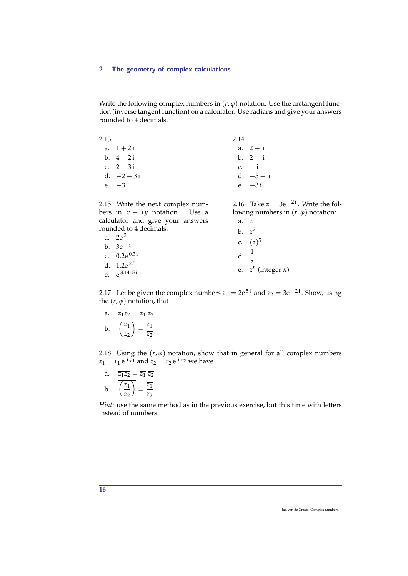Write the following complex numbers in  $(r, \varphi)$  notation. Use the arctangent function (inverse tangent function) on a calculator. Use radians and give your answers rounded to 4 decimals.

| 2.13 |            | 2.14 |             |
|------|------------|------|-------------|
|      | a. $1+2i$  |      | a. $2 + i$  |
|      | $h. 4-2i$  |      | b. $2-i$    |
|      | c. $2-3i$  |      | $c. -i$     |
|      | d. $-2-3i$ |      | d. $-5 + i$ |
|      | e. $-3$    |      | e. $-3i$    |
|      |            |      |             |

2.15 Write the next complex numbers in  $x + iy$  notation. Use a calculator and give your answers rounded to 4 decimals. a.  $2e^{2i}$ 

2.16 Take  $z = 3e^{-2i}$ . Write the following numbers in  $(r, \varphi)$  notation: a. *z* b.  $z^2$ c.  $(\bar{z})^5$ d.  $\frac{1}{z}$ 

d. 1.2e 2.5 i e. e 3.1415 i e.  $z^n$  (integer *n*)

2.17 Let be given the complex numbers  $z_1 = 2e^{5i}$  and  $z_2 = 3e^{-2i}$ . Show, using the  $(r, \varphi)$  notation, that

a.  $\overline{z_1 z_2} = \overline{z_1} \, \overline{z_2}$ b.  $\left(\frac{z_1}{z}\right)$ *z*2  $=$  $\frac{\overline{z_1}}{2}$ *z*2

b.  $3e^{-i}$ c.  $0.2e^{0.3i}$ 

2.18 Using the  $(r, \varphi)$  notation, show that in general for all complex numbers  $z_1 = r_1 e^{i \phi_1}$  and  $z_2 = r_2 e^{i \phi_2}$  we have

a.  $\overline{z_1 z_2} = \overline{z_1} \overline{z_2}$ b.  $\left(\frac{z_1}{z}\right)$ *z*2  $=$  $\frac{\overline{z_1}}{2}$ *z*2

*Hint:* use the same method as in the previous exercise, but this time with letters instead of numbers.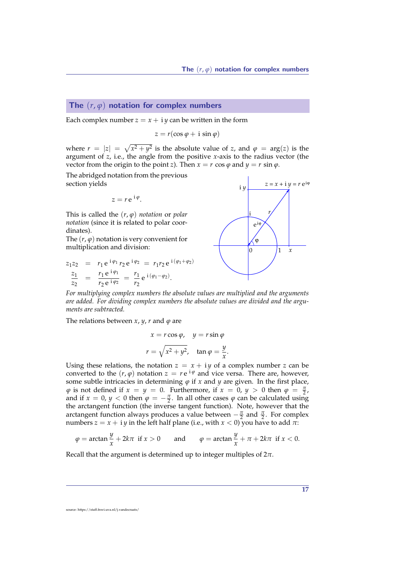#### The  $(r, \varphi)$  notation for complex numbers

Each complex number  $z = x + iy$  can be written in the form

$$
z = r(\cos\varphi + i\sin\varphi)
$$

where  $r = |z| = \sqrt{x^2 + y^2}$  is the absolute value of *z*, and  $\varphi = \arg(z)$  is the argument of *z*, i.e., the angle from the positive *x*-axis to the radius vector (the vector from the origin to the point *z*). Then  $x = r \cos \varphi$  and  $y = r \sin \varphi$ .

The abridged notation from the previous section yields

$$
z=r\,\mathrm{e}^{\mathrm{i}\,\varphi}.
$$

This is called the  $(r, \varphi)$  *notation* or *polar notation* (since it is related to polar coordinates).

The  $(r, \varphi)$  notation is very convenient for multiplication and division:

$$
z_1 z_2 = r_1 e^{i \varphi_1} r_2 e^{i \varphi_2} = r_1 r_2 e^{i (\varphi_1 + \varphi_2)}
$$
  

$$
\frac{z_1}{z_2} = \frac{r_1 e^{i \varphi_1}}{r_2 e^{i \varphi_2}} = \frac{r_1}{r_2} e^{i (\varphi_1 - \varphi_2)}.
$$



*For multiplying complex numbers the absolute values are multiplied and the arguments are added. For dividing complex numbers the absolute values are divided and the arguments are subtracted.*

The relations between *x*, *y*, *r* and  $\varphi$  are

$$
x = r \cos \varphi, \quad y = r \sin \varphi
$$

$$
r = \sqrt{x^2 + y^2}, \quad \tan \varphi = \frac{y}{x}.
$$

Using these relations, the notation  $z = x + iy$  of a complex number *z* can be converted to the  $(r, \varphi)$  notation  $z = r e^{i\varphi}$  and vice versa. There are, however, some subtle intricacies in determining  $\varphi$  if  $x$  and  $y$  are given. In the first place,  $\varphi$  is not defined if  $x = y = 0$ . Furthermore, if  $x = 0, y > 0$  then  $\varphi = \frac{\pi}{2}$ , and if  $x = 0$ ,  $y < 0$  then  $\varphi = -\frac{\pi}{2}$ . In all other cases  $\varphi$  can be calculated using the arctangent function (the inverse tangent function). Note, however that the arctangent function always produces a value between  $-\frac{\pi}{2}$  and  $\frac{\pi}{2}$ . For complex numbers  $z = x + iy$  in the left half plane (i.e., with  $x < 0$ ) you have to add  $\pi$ .

$$
\varphi = \arctan \frac{y}{x} + 2k\pi \text{ if } x > 0 \quad \text{and} \quad \varphi = \arctan \frac{y}{x} + \pi + 2k\pi \text{ if } x < 0.
$$

Recall that the argument is determined up to integer multiples of 2*π*.

**17**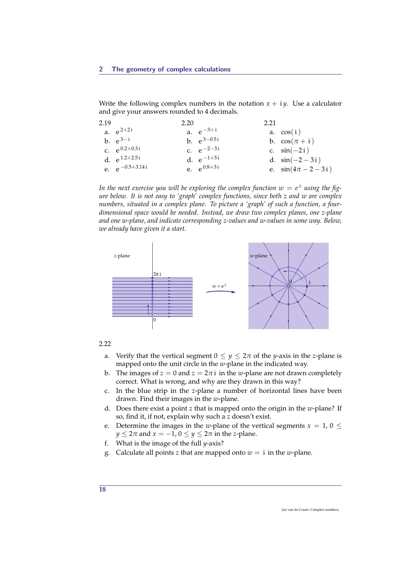Write the following complex numbers in the notation  $x + i y$ . Use a calculator and give your answers rounded to 4 decimals.

| 2.19 |                     | 2.20 |                 | 2.21 |                         |
|------|---------------------|------|-----------------|------|-------------------------|
|      | a. $e^{2+2i}$       |      | a. $e^{-3+i}$   |      | a. $cos(i)$             |
|      | b. $e^{3-i}$        |      | b. $e^{3-0.5i}$ |      | b. $\cos(\pi + i)$      |
|      | c. $e^{0.2+0.3i}$   |      | c. $e^{-2-3i}$  |      | c. $sin(-2i)$           |
|      | d. $e^{1.2+2.5i}$   |      | d. $e^{-1+5i}$  |      | d. $sin(-2-3i)$         |
|      | e. $e^{-0.5+3.14i}$ |      | e. $e^{0.8+3i}$ |      | e. $sin(4\pi - 2 - 3i)$ |

In the next exercise you will be exploring the complex function  $w = e^z$  using the fig*ure below. It is not easy to 'graph' complex functions, since both z and w are complex numbers, situated in a complex plane. To picture a 'graph' of such a function, a fourdimensional space would be needed. Instead, we draw two complex planes, one z-plane and one w-plane, and indicate corresponding z-values and w-values in some way. Below, we already have given it a start.*



#### 2.22

- a. Verify that the vertical segment  $0 \le y \le 2\pi$  of the *y*-axis in the *z*-plane is mapped onto the unit circle in the *w*-plane in the indicated way.
- b. The images of  $z = 0$  and  $z = 2\pi i$  in the *w*-plane are not drawn completely correct. What is wrong, and why are they drawn in this way?
- c. In the blue strip in the *z*-plane a number of horizontal lines have been drawn. Find their images in the *w*-plane.
- d. Does there exist a point *z* that is mapped onto the origin in the *w*-plane? If so, find it, if not, explain why such a *z* doesn't exist.
- e. Determine the images in the *w*-plane of the vertical segments  $x = 1, 0 \le$ *y*  $\leq$  2 $\pi$  and  $x = -1$ ,  $0 \leq y \leq 2\pi$  in the *z*-plane.
- f. What is the image of the full *y*-axis?
- g. Calculate all points *z* that are mapped onto  $w = i$  in the *w*-plane.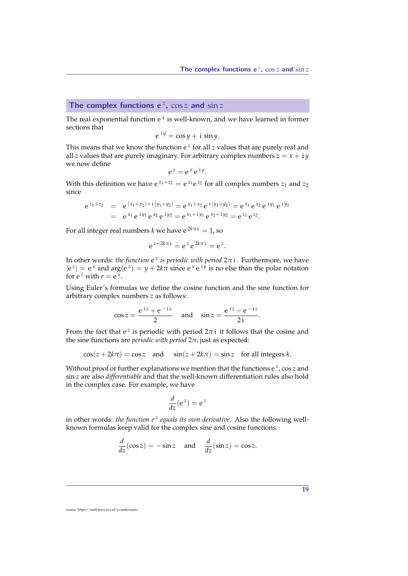#### The complex functions  $e^z$ ,  $\cos z$  and  $\sin z$

The real exponential function e<sup>x</sup> is well-known, and we have learned in former sections that

$$
e^{iy} = \cos y + i \sin y.
$$

This means that we know the function e<sup>z</sup> for all *z* values that are purely real and all *z* values that are purely imaginary. For arbitrary complex numbers  $z = x + iy$ we now define

$$
e^z = e^x e^{iy}.
$$

With this definition we have  $e^{z_1+z_2} = e^{z_1}e^{z_2}$  for all complex numbers  $z_1$  and  $z_2$ since

$$
e^{z_1+z_2} = e^{(x_1+x_2)+i(y_1+y_2)} = e^{x_1+x_2} e^{i(y_1+y_2)} = e^{x_1} e^{x_2} e^{iy_1} e^{iy_2}
$$
  
=  $e^{x_1} e^{iy_1} e^{x_2} e^{iy_2} = e^{x_1+iy_1} e^{x_2+iy_2} = e^{z_1} e^{z_2}.$ 

For all integer real numbers *k* we have  $e^{2k\pi i} = 1$ , so

$$
e^{z+2k\pi i} = e^z e^{2k\pi i} = e^z.
$$

In other words: *the function* e<sup>z</sup> is periodic with period  $2\pi$  i. Furthermore, we have  $|e^z| = e^x$  and  $\arg(e^z) = y + 2k\pi$  since  $e^x e^{iy}$  is no else than the polar notation for  $e^z$  with  $r = e^{\overline{x}}$ .

Using Euler's formulas we define the cosine function and the sine function for arbitrary complex numbers *z* as follows:

$$
\cos z = \frac{e^{iz} + e^{-iz}}{2}
$$
 and  $\sin z = \frac{e^{iz} - e^{-iz}}{2i}$ .

From the fact that  $e^z$  is periodic with period  $2\pi i$  it follows that the cosine and the sine functions are *periodic with period* 2*π*, just as expected:

$$
cos(z + 2k\pi) = cos z
$$
 and  $sin(z + 2k\pi) = sin z$  for all integers k.

Without proof or further explanations we mention that the functions e<sup>z</sup>, cos *z* and sin *z* are also *differentiable* and that the well-known differentiation rules also hold in the complex case. For example, we have

$$
\frac{d}{dz}(\mathrm{e}^z) = \mathrm{e}^z
$$

in other words: *the function e<sup>z</sup>* equals its own derivative. Also the following wellknown formulas keep valid for the complex sine and cosine functions:

$$
\frac{d}{dz}(\cos z) = -\sin z \quad \text{and} \quad \frac{d}{dz}(\sin z) = \cos z.
$$

**19**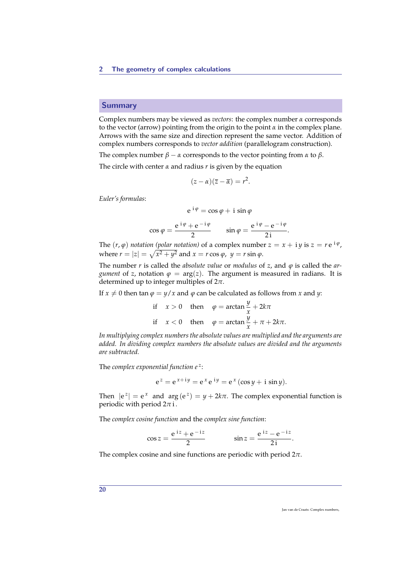#### 2 The geometry of complex calculations

#### Summary

Complex numbers may be viewed as *vectors*: the complex number *α* corresponds to the vector (arrow) pointing from the origin to the point *α* in the complex plane. Arrows with the same size and direction represent the same vector. Addition of complex numbers corresponds to *vector addition* (parallelogram construction).

The complex number  $\beta - \alpha$  corresponds to the vector pointing from  $\alpha$  to  $\beta$ .

The circle with center *α* and radius *r* is given by the equation

$$
(z-\alpha)(\overline{z}-\overline{\alpha})=r^2.
$$

*Euler's formulas*:

$$
e^{i\varphi} = \cos\varphi + i\sin\varphi
$$

$$
\cos \varphi = \frac{e^{i\varphi} + e^{-i\varphi}}{2} \qquad \sin \varphi = \frac{e^{i\varphi} - e^{-i\varphi}}{2i}.
$$

The  $(r, \varphi)$  *notation (polar notation)* of a complex number  $z = x + iy$  is  $z = re^{i\varphi}$ , where  $r = |z| = \sqrt{x^2 + y^2}$  and  $x = r \cos \varphi$ ,  $y = r \sin \varphi$ .

The number  $r$  is called the *absolute value* or *modulus* of  $z$ , and  $\varphi$  is called the  $ar$ *gument* of *z*, notation  $\varphi = \arg(z)$ . The argument is measured in radians. It is determined up to integer multiples of 2*π*.

If  $x \neq 0$  then tan  $\varphi = y/x$  and  $\varphi$  can be calculated as follows from *x* and *y*:

if 
$$
x > 0
$$
 then  $\varphi = \arctan \frac{y}{x} + 2k\pi$   
if  $x < 0$  then  $\varphi = \arctan \frac{y}{x} + \pi + 2k\pi$ .

*In multiplying complex numbers the absolute values are multiplied and the arguments are added. In dividing complex numbers the absolute values are divided and the arguments are subtracted.*

The *complex exponential function e <sup>z</sup>* :

$$
e^{z} = e^{x+iy} = e^{x} e^{iy} = e^{x} (\cos y + i \sin y).
$$

Then  $|e^z| = e^x$  and  $arg(e^z) = y + 2k\pi$ . The complex exponential function is periodic with period 2*π* i .

The *complex cosine function* and the *complex sine function*:

$$
\cos z = \frac{e^{iz} + e^{-iz}}{2}
$$
 
$$
\sin z = \frac{e^{iz} - e^{-iz}}{2i}.
$$

The complex cosine and sine functions are periodic with period 2*π*.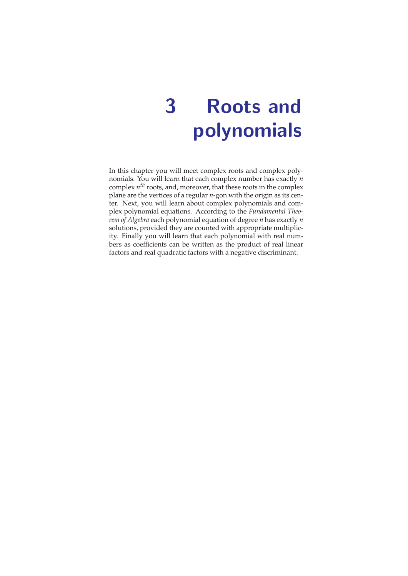## 3 Roots and polynomials

In this chapter you will meet complex roots and complex polynomials. You will learn that each complex number has exactly *n* complex *n th* roots, and, moreover, that these roots in the complex plane are the vertices of a regular *n*-gon with the origin as its center. Next, you will learn about complex polynomials and complex polynomial equations. According to the *Fundamental Theorem of Algebra* each polynomial equation of degree *n* has exactly *n* solutions, provided they are counted with appropriate multiplicity. Finally you will learn that each polynomial with real numbers as coefficients can be written as the product of real linear factors and real quadratic factors with a negative discriminant.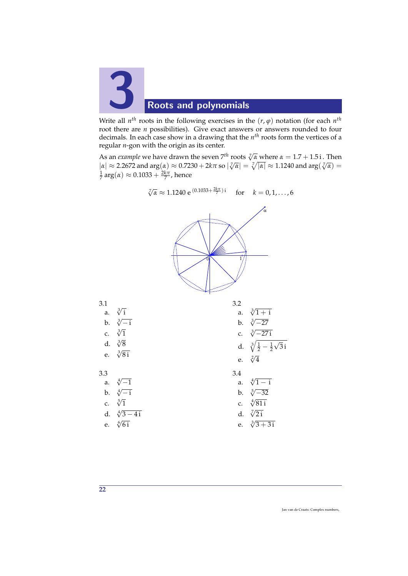

Write all  $n^{th}$  roots in the following exercises in the  $(r,\varphi)$  notation (for each  $n^{th}$ root there are *n* possibilities). Give exact answers or answers rounded to four decimals. In each case show in a drawing that the *n th* roots form the vertices of a regular *n*-gon with the origin as its center.

As an *example* we have drawn the seven  $7^{th}$  roots  $\sqrt{a}$  where  $\alpha = 1.7 + 1.5$  i. Then  $|\alpha| \approx 2.2672$  and  $\arg(\alpha) \approx 0.7230 + 2k\pi$  so  $|\sqrt[n]{\alpha}| = \sqrt[n]{|\alpha|} \approx 1.1240$  and  $\arg(\sqrt[n]{\alpha}) =$  $\frac{1}{7}$  arg $(\alpha) \approx 0.1033 + \frac{2k\pi}{7}$ , hence



 $\sqrt[7]{\alpha} \approx 1.1240 \text{ e}^{(0.1033 + \frac{2k\pi}{7})i}$ for  $k = 0, 1, ..., 6$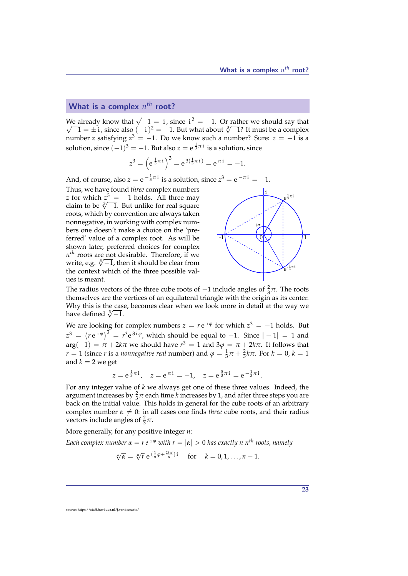#### What is a complex *n th* root?

We already know that  $\sqrt{-1} = i$ , since  $i^2 = -1$ . Or rather we should say that e aiready know that  $\sqrt{-1} = 1$ , since  $1^2 = -1$ . Or rather we should say that  $\sqrt{-1} = \pm i$ , since also  $(-i)^2 = -1$ . But what about  $\sqrt[3]{-1}$ ? It must be a complex number *z* satisfying  $z^3 = -1$ . Do we know such a number? Sure:  $z = -1$  is a solution, since  $(-1)^3 = -1$ . But also  $z = e^{\frac{1}{3}\pi i}$  is a solution, since

$$
z^{3} = \left(e^{\frac{1}{3}\pi i}\right)^{3} = e^{3(\frac{1}{3}\pi i)} = e^{\pi i} = -1.
$$

And, of course, also  $z = e^{-\frac{1}{3}\pi i}$  is a solution, since  $z^3 = e^{-\pi i} = -1$ .

Thus, we have found *three* complex numbers *z* for which  $z^3 = -1$  holds. All three may claim to be  $\sqrt[3]{-1}$ . But unlike for real square roots, which by convention are always taken nonnegative, in working with complex numbers one doesn't make a choice on the 'preferred' value of a complex root. As will be shown later, preferred choices for complex *n th* roots are not desirable. Therefore, if we write, e.g.  $\sqrt[3]{-1}$ , then it should be clear from the context which of the three possible values is meant.



The radius vectors of the three cube roots of  $-1$  include angles of  $\frac{2}{3}\pi$ . The roots themselves are the vertices of an equilateral triangle with the origin as its center. Why this is the case, becomes clear when we look more in detail at the way we have defined  $\sqrt[3]{-1}$ .

We are looking for complex numbers  $z = r e^{i\varphi}$  for which  $z^3 = -1$  holds. But  $z^3 = (r e^{i\varphi})^3 = r^3 e^{3i\varphi}$ , which should be equal to −1. Since  $|-1| = 1$  and arg $(-1) = \pi + 2k\pi$  we should have  $r^3 = 1$  and  $3\varphi = \pi + 2k\pi$ . It follows that *r* = 1 (since *r* is a *nonnegative real* number) and  $\varphi = \frac{1}{3}\pi + \frac{2}{3}k\pi$ . For  $k = 0$ ,  $k = 1$ and  $k = 2$  we get

$$
z = e^{\frac{1}{3}\pi i}
$$
,  $z = e^{\pi i} = -1$ ,  $z = e^{\frac{5}{3}\pi i} = e^{-\frac{1}{3}\pi i}$ .

For any integer value of *k* we always get one of these three values. Indeed, the argument increases by  $\frac{2}{3}\pi$  each time *k* increases by 1, and after three steps you are back on the initial value. This holds in general for the cube roots of an arbitrary complex number  $\alpha \neq 0$ : in all cases one finds *three* cube roots, and their radius vectors include angles of  $\frac{2}{3}\pi$ .

More generally, for any positive integer *n*:

*Each complex number*  $\alpha = r e^{i\varphi}$  *with*  $r = |\alpha| > 0$  *has exactly n n<sup>th</sup> roots, namely* 

$$
\sqrt[n]{\alpha} = \sqrt[n]{r} e^{(\frac{1}{n}\varphi + \frac{2k\pi}{n})i}
$$
 for  $k = 0, 1, ..., n - 1$ .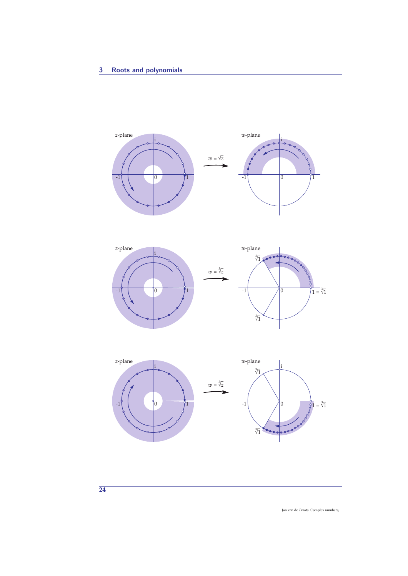







**24**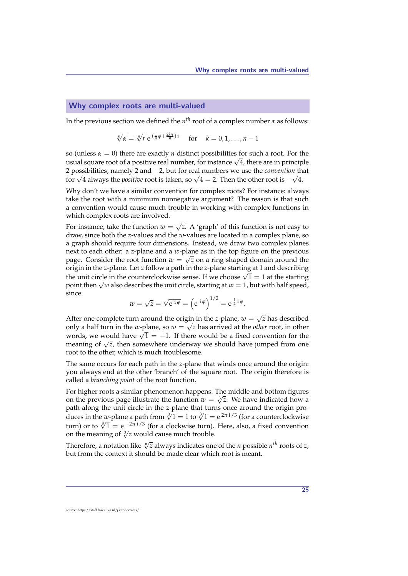#### Why complex roots are multi-valued

In the previous section we defined the *n th* root of a complex number *α* as follows:

 $\sqrt[n]{\alpha} = \sqrt[n]{r} e^{(\frac{1}{n}\varphi + \frac{2k\pi}{n})i}$  for  $k = 0, 1, ..., n - 1$ 

so (unless  $\alpha = 0$ ) there are exactly *n* distinct possibilities for such a root. For the so (unless  $\alpha = 0$ ) there are exactly *n* distinct possibilities for such a root. For the usual square root of a positive real number, for instance  $\sqrt{4}$ , there are in principle 2 possibilities, namely 2 and −2, but for real numbers we use the *convention* that √ *A* possibilities, hallely 2 and  $-2$ , but for real numbers we use the *convention* the for  $\sqrt{4}$  always the *positive* root is taken, so  $\sqrt{4} = 2$ . Then the other root is  $-\sqrt{4}$ .

Why don't we have a similar convention for complex roots? For instance: always take the root with a minimum nonnegative argument? The reason is that such a convention would cause much trouble in working with complex functions in which complex roots are involved.

For instance, take the function  $w = \sqrt{ }$ *z*. A 'graph' of this function is not easy to draw, since both the *z*-values and the *w*-values are located in a complex plane, so a graph should require four dimensions. Instead, we draw two complex planes next to each other: a *z*-plane and a *w*-plane as in the top figure on the previous page. Consider the root function  $w = \sqrt{z}$  on a ring shaped domain around the origin in the *z*-plane. Let *z* follow a path in the *z*-plane starting at 1 and describing origin in the z-plane. Let z follow a path in the z-plane starting at 1 and describing<br>the unit circle in the counterclockwise sense. If we choose  $\sqrt{1} = 1$  at the starting the unit circle in the counterclockwise sense. If we choose  $\sqrt{1} = 1$  at the starting<br>point then  $\sqrt{w}$  also describes the unit circle, starting at  $w = 1$ , but with half speed, since

$$
w = \sqrt{z} = \sqrt{e^{i\varphi}} = \left(e^{i\varphi}\right)^{1/2} = e^{\frac{1}{2}i\varphi}.
$$

After one complete turn around the origin in the *z*-plane,  $w = \sqrt{ }$ zin in the *z*-plane,  $w = \sqrt{z}$  has described only a half turn in the *w*-plane, so  $w = \sqrt{z}$  has arrived at the *other* root, in other only a nall turn in the *w*-plane, so  $w = \sqrt{2}$  has arrived at the *other* root, in other<br>words, we would have  $\sqrt{1} = -1$ . If there would be a fixed convention for the words, we would have  $\sqrt{1} = -1$ . If there would be a fixed convention for the meaning of  $\sqrt{z}$ , then somewhere underway we should have jumped from one root to the other, which is much troublesome.

The same occurs for each path in the *z*-plane that winds once around the origin: you always end at the other 'branch' of the square root. The origin therefore is called a *branching point* of the root function.

For higher roots a similar phenomenon happens. The middle and bottom figures For nigher roots a similar phenomenon happens. The middle and bottom ngures<br>on the previous page illustrate the function  $w = \sqrt[3]{z}$ . We have indicated how a path along the unit circle in the *z*-plane that turns once around the origin propain along the unit circle in the *z*-plane that turns once around the origin pro-<br>duces in the *w*-plane a path from  $\sqrt[3]{1} = 1$  to  $\sqrt[3]{1} = e^{2\pi i/3}$  (for a counterclockwise turn) or to  $\sqrt[3]{1} = e^{-2\pi i /3}$  (for a clockwise turn). Here, also, a fixed convention furn) or to  $\sqrt{1} = e^{-2\pi i/3}$  (for a clockwise turn).<br>on the meaning of  $\sqrt[3]{z}$  would cause much trouble.

Therefore, a notation like  $\sqrt[n]{z}$  always indicates one of the *n* possible  $n^{th}$  roots of *z*, but from the context it should be made clear which root is meant.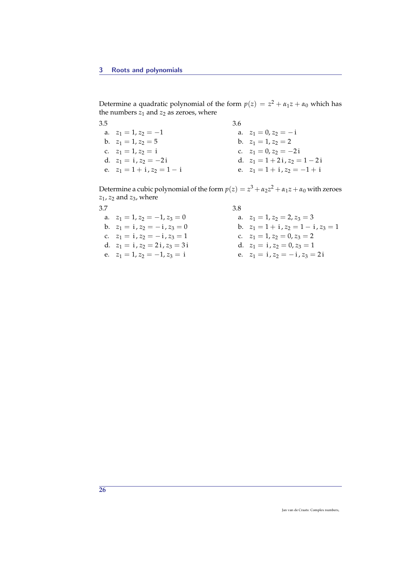Determine a quadratic polynomial of the form  $p(z) = z^2 + \alpha_1 z + \alpha_0$  which has the numbers  $z_1$  and  $z_2$  as zeroes, where

3.5 a.  $z_1 = 1, z_2 = -1$ b.  $z_1 = 1, z_2 = 5$ c.  $z_1 = 1, z_2 = i$ d.  $z_1 = i, z_2 = -2i$ e.  $z_1 = 1 + i$ ,  $z_2 = 1 - i$ 3.6 a.  $z_1 = 0, z_2 = -i$ b.  $z_1 = 1, z_2 = 2$ c.  $z_1 = 0, z_2 = -2i$ d.  $z_1 = 1 + 2i$ ,  $z_2 = 1 - 2i$ e.  $z_1 = 1 + i$ ,  $z_2 = -1 + i$ 

Determine a cubic polynomial of the form  $p(z) = z^3 + \alpha_2 z^2 + \alpha_1 z + \alpha_0$  with zeroes *z*1, *z*<sup>2</sup> and *z*3, where

3.7

a.  $z_1 = 1, z_2 = -1, z_3 = 0$ b.  $z_1 = i$ ,  $z_2 = -i$ ,  $z_3 = 0$ c.  $z_1 = i$ ,  $z_2 = -i$ ,  $z_3 = 1$ d.  $z_1 = i$ ,  $z_2 = 2i$ ,  $z_3 = 3i$ e.  $z_1 = 1, z_2 = -1, z_3 = i$ 

3.8

a.  $z_1 = 1, z_2 = 2, z_3 = 3$ b.  $z_1 = 1 + i$ ,  $z_2 = 1 - i$ ,  $z_3 = 1$ c.  $z_1 = 1, z_2 = 0, z_3 = 2$ d.  $z_1 = i$ ,  $z_2 = 0$ ,  $z_3 = 1$ e.  $z_1 = i$ ,  $z_2 = -i$ ,  $z_3 = 2i$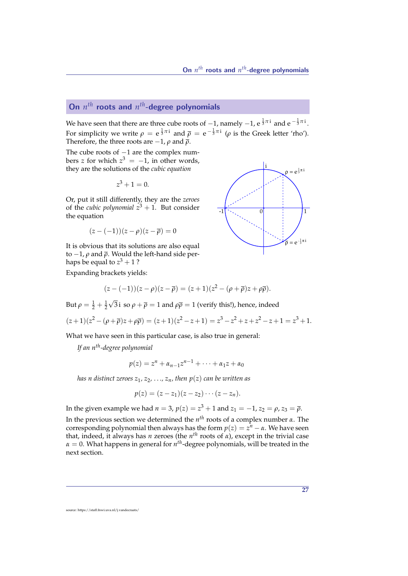#### On *n th* roots and *n th*-degree polynomials

*W*e have seen that there are three cube roots of −1, namely −1, e  $^{\frac{1}{3}πi}$  and e  $^{-\frac{1}{3}πi}$ . For simplicity we write  $\rho = e^{\frac{1}{3}\pi i}$  and  $\overline{\rho} = e^{-\frac{1}{3}\pi i}$  ( $\rho$  is the Greek letter 'rho'). Therefore, the three roots are  $-1$ ,  $\rho$  and  $\bar{\rho}$ .

The cube roots of  $-1$  are the complex numbers *z* for which  $z^3 = -1$ , in other words, they are the solutions of the *cubic equation*

$$
z^3 + 1 = 0.
$$

Or, put it still differently, they are the *zeroes* of the *cubic polynomial*  $z^3 + 1$ . But consider the equation

$$
(z-(-1))(z-\rho)(z-\overline{\rho})=0
$$

It is obvious that its solutions are also equal to −1, *ρ* and *ρ*. Would the left-hand side perhaps be equal to  $z^3+1$  ?

Expanding brackets yields:

$$
(z-(-1))(z-\rho)(z-\overline{\rho})=(z+1)(z^2-(\rho+\overline{\rho})z+\rho\overline{\rho}).
$$

But  $ρ = \frac{1}{2} + \frac{1}{2}$ √ 3 i so  $\rho + \overline{\rho} = 1$  and  $\rho \overline{\rho} = 1$  (verify this!), hence, indeed

$$
(z+1)(z2 - (\rho + \overline{\rho})z + \rho\overline{\rho}) = (z+1)(z2 - z + 1) = z3 - z2 + z + z2 - z + 1 = z3 + 1.
$$

What we have seen in this particular case, is also true in general:

*If an nth-degree polynomial*

$$
p(z) = z^{n} + \alpha_{n-1}z^{n-1} + \cdots + \alpha_{1}z + \alpha_{0}
$$

*has n distinct zeroes*  $z_1$ ,  $z_2$ , ...,  $z_n$ , then  $p(z)$  *can be written as* 

$$
p(z)=(z-z_1)(z-z_2)\cdots(z-z_n).
$$

In the given example we had  $n = 3$ ,  $p(z) = z^3 + 1$  and  $z_1 = -1$ ,  $z_2 = \rho$ ,  $z_3 = \overline{\rho}$ .

In the previous section we determined the *n th* roots of a complex number *α*. The corresponding polynomial then always has the form  $p(z) = z^n - \alpha$ . We have seen that, indeed, it always has *n* zeroes (the *n th* roots of *α*), except in the trivial case *α* = 0. What happens in general for *n th*-degree polynomials, will be treated in the next section.



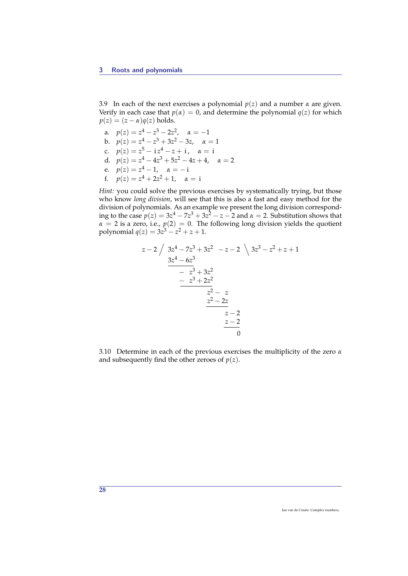3.9 In each of the next exercises a polynomial  $p(z)$  and a number  $\alpha$  are given. Verify in each case that  $p(\alpha) = 0$ , and determine the polynomial  $q(z)$  for which  $p(z) = (z - \alpha)q(z)$  holds.

a.  $p(z) = z^4 - z^3 - 2z^2$ ,  $\alpha = -1$ b.  $p(z) = z^4 - z^3 + 3z^2 - 3z$ ,  $\alpha = 1$ c.  $p(z) = z^5 - iz^4 - z + i$ ,  $\alpha = i$ d.  $p(z) = z^4 - 4z^3 + 5z^2 - 4z + 4$ ,  $\alpha = 2$ e.  $p(z) = z^4 - 1$ ,  $\alpha = -i$ f.  $p(z) = z^4 + 2z^2 + 1$ ,  $\alpha = i$ 

*Hint:* you could solve the previous exercises by systematically trying, but those who know *long division*, will see that this is also a fast and easy method for the division of polynomials. As an example we present the long division corresponding to the case  $p(z) = 3z^4 - 7z^3 + 3z^2 - z - 2$  and  $\alpha = 2$ . Substitution shows that  $\alpha = 2$  is a zero, i.e.,  $p(2) = 0$ . The following long division yields the quotient  $\text{polynomial } q(z) = 3z^3 - z^2 + z + 1.$ 

$$
z-2 \left/ \frac{3z^4 - 7z^3 + 3z^2}{3z^4 - 6z^3} - z - 2 \right/ 3z^3 - z^2 + z + 1
$$
  

$$
\frac{-z^3 + 3z^2}{z^2 - z}
$$
  

$$
\frac{z^2 - z}{z - 2}
$$
  

$$
\frac{z - 2}{z - 2}
$$

3.10 Determine in each of the previous exercises the multiplicity of the zero *α* and subsequently find the other zeroes of  $p(z)$ .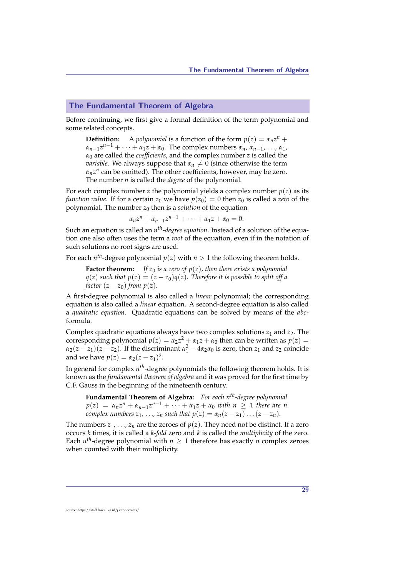#### The Fundamental Theorem of Algebra

Before continuing, we first give a formal definition of the term polynomial and some related concepts.

**Definition:** A *polynomial* is a function of the form  $p(z) = \alpha_n z^n +$  $\alpha_{n-1}z^{n-1} + \cdots + \alpha_1z + \alpha_0$ . The complex numbers  $\alpha_n$ ,  $\alpha_{n-1}$ , . . .,  $\alpha_1$ , *α*<sup>0</sup> are called the *coefficients*, and the complex number *z* is called the *variable*. We always suppose that  $\alpha_n \neq 0$  (since otherwise the term  $\alpha_n z^n$  can be omitted). The other coefficients, however, may be zero. The number *n* is called the *degree* of the polynomial.

For each complex number *z* the polynomial yields a complex number  $p(z)$  as its *function value*. If for a certain  $z_0$  we have  $p(z_0) = 0$  then  $z_0$  is called a *zero* of the polynomial. The number *z*<sup>0</sup> then is a *solution* of the equation

 $\alpha_n z^n + \alpha_{n-1} z^{n-1} + \cdots + \alpha_1 z + \alpha_0 = 0.$ 

Such an equation is called an *n th-degree equation*. Instead of a solution of the equation one also often uses the term a *root* of the equation, even if in the notation of such solutions no root signs are used.

For each  $n^{th}$ -degree polynomial  $p(z)$  with  $n > 1$  the following theorem holds.

**Factor theorem:** If  $z_0$  *is a zero of*  $p(z)$ *, then there exists a polynomial*  $q(z)$  *such that*  $p(z) = (z - z_0)q(z)$ *. Therefore it is possible to split off a factor*  $(z - z_0)$  *from*  $p(z)$ *.* 

A first-degree polynomial is also called a *linear* polynomial; the corresponding equation is also called a *linear* equation. A second-degree equation is also called a *quadratic equation*. Quadratic equations can be solved by means of the *abc*formula.

Complex quadratic equations always have two complex solutions  $z_1$  and  $z_2$ . The corresponding polynomial  $p(z) = \alpha_2 z^2 + \alpha_1 z + \alpha_0$  then can be written as  $p(z) =$  $\alpha_2(z-z_1)(z-z_2)$ . If the discriminant  $\alpha_1^2 - 4\alpha_2\alpha_0$  is zero, then  $z_1$  and  $z_2$  coincide and we have  $p(z) = \alpha_2(z - z_1)^2$ .

In general for complex *n th*-degree polynomials the following theorem holds. It is known as the *fundamental theorem of algebra* and it was proved for the first time by C.F. Gauss in the beginning of the nineteenth century.

**Fundamental Theorem of Algebra:** *For each nth-degree polynomial*  $p(z) = \alpha_n z^n + \alpha_{n-1} z^{n-1} + \cdots + \alpha_1 z + \alpha_0$  *with*  $n \ge 1$  *there are n complex numbers*  $z_1$ *,* . . .*,*  $z_n$  *such that*  $p(z) = \alpha_n(z - z_1) \dots (z - z_n)$ *.* 

The numbers  $z_1, \ldots, z_n$  are the zeroes of  $p(z)$ . They need not be distinct. If a zero occurs *k* times, it is called a *k-fold* zero and *k* is called the *multiplicity* of the zero. Each  $n^{th}$ -degree polynomial with  $n \geq 1$  therefore has exactly *n* complex zeroes when counted with their multiplicity.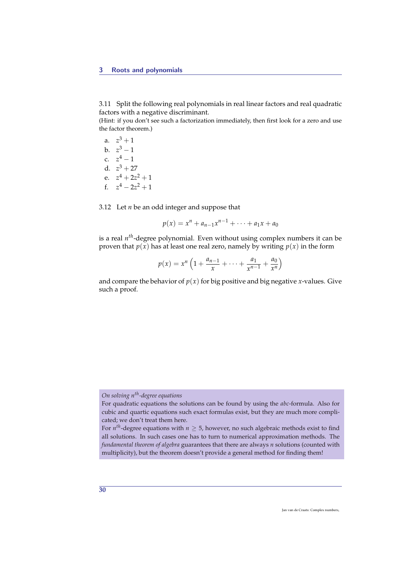3.11 Split the following real polynomials in real linear factors and real quadratic factors with a negative discriminant.

(Hint: if you don't see such a factorization immediately, then first look for a zero and use the factor theorem.)

a. 
$$
z^3 + 1
$$
  
\nb.  $z^3 - 1$   
\nc.  $z^4 - 1$   
\nd.  $z^3 + 27$   
\ne.  $z^4 + 2z^2 + 1$   
\nf.  $z^4 - 2z^2 + 1$ 

3.12 Let *n* be an odd integer and suppose that

$$
p(x) = x^n + a_{n-1}x^{n-1} + \cdots + a_1x + a_0
$$

is a real *n th*-degree polynomial. Even without using complex numbers it can be proven that  $p(x)$  has at least one real zero, namely by writing  $p(x)$  in the form

$$
p(x) = x^n \left( 1 + \frac{a_{n-1}}{x} + \dots + \frac{a_1}{x^{n-1}} + \frac{a_0}{x^n} \right)
$$

and compare the behavior of  $p(x)$  for big positive and big negative *x*-values. Give such a proof.

*On solving nth-degree equations*

For quadratic equations the solutions can be found by using the *abc*-formula. Also for cubic and quartic equations such exact formulas exist, but they are much more complicated; we don't treat them here.

For *n th*-degree equations with *n* ≥ 5, however, no such algebraic methods exist to find all solutions. In such cases one has to turn to numerical approximation methods. The *fundamental theorem of algebra* guarantees that there are always *n* solutions (counted with multiplicity), but the theorem doesn't provide a general method for finding them!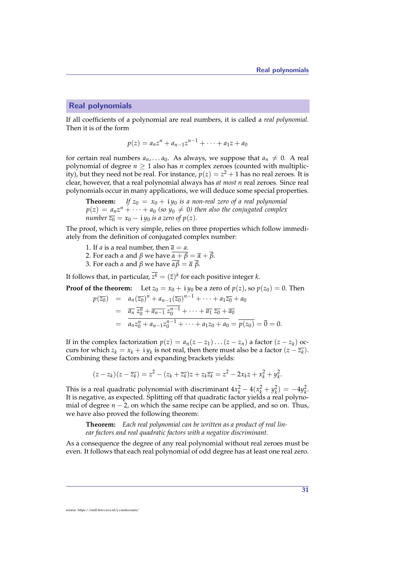#### Real polynomials

If all coefficients of a polynomial are real numbers, it is called a *real polynomial*. Then it is of the form

$$
p(z) = a_n z^n + a_{n-1} z^{n-1} + \dots + a_1 z + a_0
$$

for certain real numbers  $a_n$ , ...  $a_0$ . As always, we suppose that  $a_n \neq 0$ . A real polynomial of degree  $n \geq 1$  also has *n* complex zeroes (counted with multiplicity), but they need not be real. For instance,  $p(z) = z^2 + 1$  has no real zeroes. It is clear, however, that a real polynomial always has *at most n* real zeroes. Since real polynomials occur in many applications, we will deduce some special properties.

**Theorem:** If  $z_0 = x_0 + iy_0$  *is a non-real zero of a real polynomial*  $p(z) = a_n z^n + \cdots + a_0$  (so  $y_0 \neq 0$ ) then also the conjugated complex *number*  $\overline{z_0} = x_0 - i y_0$  *is a zero of p*(*z*)*.* 

The proof, which is very simple, relies on three properties which follow immediately from the definition of conjugated complex number:

- 1. If *a* is a real number, then  $\bar{a} = a$ .
- 2. For each *α* and *β* we have  $\alpha + \beta = \overline{\alpha} + \beta$ .
- 3. For each *α* and *β* we have *αβ* = *α β*.

It follows that, in particular,  $z^k = (\overline{z})^k$  for each positive integer *k*.

**Proof of the theorem:** Let  $z_0 = x_0 + iy_0$  be a zero of  $p(z)$ , so  $p(z_0) = 0$ . Then

$$
p(\overline{z_0}) = a_n(\overline{z_0})^n + a_{n-1}(\overline{z_0})^{n-1} + \cdots + a_1 \overline{z_0} + a_0
$$
  
=  $\overline{a_n} \overline{z_0^n} + \overline{a_{n-1}} \overline{z_0^{n-1}} + \cdots + \overline{a_1} \overline{z_0} + \overline{a_0}$   
=  $a_n z_0^n + a_{n-1} z_0^{n-1} + \cdots + a_1 z_0 + a_0 = \overline{p(z_0)} = \overline{0} = 0.$ 

If in the complex factorization  $p(z) = a_n(z - z_1) \dots (z - z_n)$  a factor  $(z - z_k)$  occurs for which  $z_k = x_k + iy_k$  is not real, then there must also be a factor  $(z - \overline{z_k})$ . Combining these factors and expanding brackets yields:

$$
(z-z_k)(z-\overline{z_k})=z^2-(z_k+\overline{z_k})z+z_k\overline{z_k}=z^2-2x_kz+x_k^2+y_k^2.
$$

This is a real quadratic polynomial with discriminant  $4x_k^2 - 4(x_k^2 + y_k^2) = -4y_k^2$ . It is negative, as expected. Splitting off that quadratic factor yields a real polynomial of degree *n* − 2, on which the same recipe can be applied, and so on. Thus, we have also proved the following theorem:

**Theorem:** *Each real polynomial can be written as a product of real linear factors and real quadratic factors with a negative discriminant.*

As a consequence the degree of any real polynomial without real zeroes must be even. It follows that each real polynomial of odd degree has at least one real zero.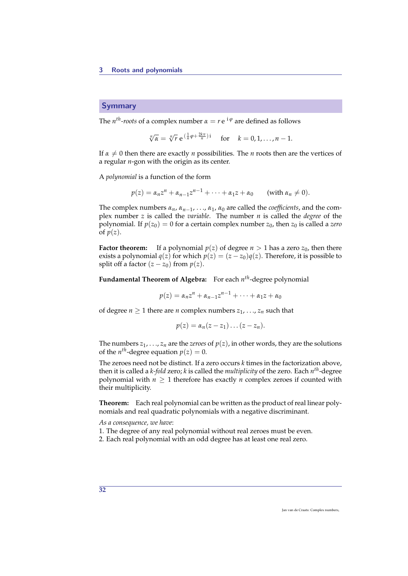#### **Symmary**

The  $n^{th}$ *-roots* of a complex number  $α = r e^{iφ}$  are defined as follows

$$
\sqrt[n]{\alpha} = \sqrt[n]{r} e^{(\frac{1}{n}\varphi + \frac{2k\pi}{n})i}
$$
 for  $k = 0, 1, ..., n-1$ .

If  $\alpha \neq 0$  then there are exactly *n* possibilities. The *n* roots then are the vertices of a regular *n*-gon with the origin as its center.

A *polynomial* is a function of the form

$$
p(z) = \alpha_n z^n + \alpha_{n-1} z^{n-1} + \cdots + \alpha_1 z + \alpha_0 \quad \text{(with } \alpha_n \neq 0\text{)}.
$$

The complex numbers  $\alpha_n$ ,  $\alpha_{n-1}$ , ...,  $\alpha_1$ ,  $\alpha_0$  are called the *coefficients*, and the complex number *z* is called the *variable*. The number *n* is called the *degree* of the polynomial. If  $p(z_0) = 0$  for a certain complex number  $z_0$ , then  $z_0$  is called a *zero* of  $p(z)$ .

**Factor theorem:** If a polynomial  $p(z)$  of degree  $n > 1$  has a zero  $z_0$ , then there exists a polynomial  $q(z)$  for which  $p(z) = (z - z_0)q(z)$ . Therefore, it is possible to split off a factor  $(z - z_0)$  from  $p(z)$ .

**Fundamental Theorem of Algebra:** For each *n th*-degree polynomial

 $p(z) = \alpha_n z^n + \alpha_{n-1} z^{n-1} + \cdots + \alpha_1 z + \alpha_0$ 

of degree  $n \geq 1$  there are *n* complex numbers  $z_1, \ldots, z_n$  such that

$$
p(z) = \alpha_n(z-z_1)\dots(z-z_n).
$$

The numbers  $z_1$ , ...,  $z_n$  are the *zeroes* of  $p(z)$ , in other words, they are the solutions of the  $n^{th}$ -degree equation  $p(z) = 0$ .

The zeroes need not be distinct. If a zero occurs *k* times in the factorization above, then it is called a *k-fold* zero; *k* is called the *multiplicity* of the zero. Each *n th*-degree polynomial with  $n \geq 1$  therefore has exactly *n* complex zeroes if counted with their multiplicity.

**Theorem:** Each real polynomial can be written as the product of real linear polynomials and real quadratic polynomials with a negative discriminant.

*As a consequence, we have*:

- 1. The degree of any real polynomial without real zeroes must be even.
- 2. Each real polynomial with an odd degree has at least one real zero.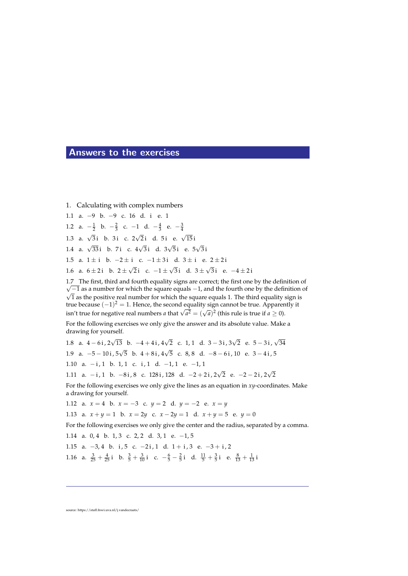#### Answers to the exercises

1. Calculating with complex numbers 1.1 a. −9 b. −9 c. 16 d. i e. 1 1.2 a.  $-\frac{1}{2}$  b.  $-\frac{2}{3}$  c.  $-1$  d.  $-\frac{4}{3}$  e.  $-\frac{3}{4}$ 1.3 a.  $\sqrt{3}$ i b. 3i c. 2 $\sqrt{2}$ i d. 5i e.  $\sqrt{15}$ i 1.4 a.  $\sqrt{33}$ i b. 7i c. 4 $\sqrt{3}$ i d. 3 $\sqrt{5}$ i e. 5 $\sqrt{3}$ i

1.5 a.  $1 \pm i$  b.  $-2 \pm i$  c.  $-1 \pm 3i$  d.  $3 \pm i$  e.  $2 \pm 2i$ 

1.6 a.  $6 \pm 2i$  b.  $2 \pm \sqrt{2}i$  c.  $-1 \pm \sqrt{3}i$  d.  $3 \pm \sqrt{3}i$  e.  $-4 \pm 2i$ 

1.7 The first, third and fourth equality signs are correct; the first one by the definition of  $\sqrt{-1}$  as a number for which the square equals  $-1$ , and the fourth one by the definition of  $\sqrt{1}$  as the positive real number for which the square equals 1. The third equality sign is true because  $(-1)^2 = 1$ . Hence, the second equality sign cannot be true. Apparently it frue because (-1) = 1. Hence, the second equality sign cannot be true. Apparent isn't true for negative real numbers *a* that  $\sqrt{a^2} = (\sqrt{a})^2$  (this rule is true if *a*  $\geq$  0).

For the following exercises we only give the answer and its absolute value. Make a drawing for yourself.

1.8 a.  $4-6i$ ,  $2\sqrt{13}$  b.  $-4+4i$ ,  $4\sqrt{2}$  c. 1, 1 d.  $3-3i$ ,  $3\sqrt{2}$  e.  $5-3i$ ,  $\sqrt{34}$ 1.9 a.  $-5 - 10i$ ,  $5\sqrt{5}$  b.  $4 + 8i$ ,  $4\sqrt{5}$  c. 8,8 d.  $-8 - 6i$ , 10 e.  $3 - 4i$ , 5 1.10 a.  $-i$ , 1 b. 1, 1 c. i, 1 d.  $-1$ , 1 e.  $-1$ , 1

1.11 a. − i, 1 b. −8 i, 8 c. 128 i, 128 d. −2 + 2 i, 2 $\sqrt{2}$  e. −2 − 2 i, 2 $\sqrt{2}$ 

For the following exercises we only give the lines as an equation in *xy*-coordinates. Make a drawing for yourself.

1.12 a.  $x = 4$  b.  $x = -3$  c.  $y = 2$  d.  $y = -2$  e.  $x = y$ 

1.13 a.  $x + y = 1$  b.  $x = 2y$  c.  $x - 2y = 1$  d.  $x + y = 5$  e.  $y = 0$ 

For the following exercises we only give the center and the radius, separated by a comma.

1.14 a. 0, 4 b. 1, 3 c. 2, 2 d. 3, 1 e. −1, 5

1.15 a.  $-3$ , 4 b. i, 5 c.  $-2i$ , 1 d. 1 + i, 3 e.  $-3 + i$ , 2

1.16 a.  $\frac{3}{25} + \frac{4}{25}$  i b.  $\frac{3}{5} + \frac{3}{10}$  i c.  $-\frac{6}{5} - \frac{2}{5}$  i d.  $\frac{11}{5} + \frac{3}{5}$  i e.  $\frac{8}{13} + \frac{1}{13}$  i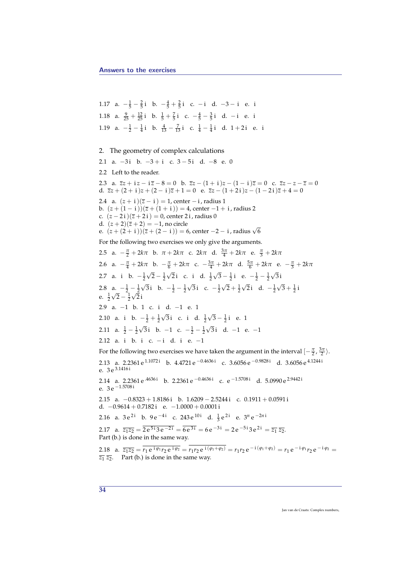1.17 a.  $-\frac{1}{5} - \frac{2}{5}i$  b.  $-\frac{4}{5} + \frac{2}{5}i$  c. -i d. -3 - i e. i 1.18 a.  $\frac{9}{25} + \frac{12}{25}i$  b.  $\frac{1}{5} + \frac{7}{5}i$  c.  $-\frac{4}{5} - \frac{3}{5}i$  d. -i e. i 1.19 a.  $-\frac{1}{2} - \frac{1}{4}i$  b.  $\frac{4}{13} - \frac{7}{13}i$  c.  $\frac{1}{4} - \frac{1}{4}i$  d. 1 + 2 i e. i

2. The geometry of complex calculations

2.1 a.  $-3i$  b.  $-3+i$  c.  $3-5i$  d.  $-8$  e. 0 2.2 Left to the reader. 2.3 a.  $\overline{z}z + i z - i \overline{z} - 8 = 0$  b.  $\overline{z}z - (1 + i)z - (1 - i) \overline{z} = 0$  c.  $\overline{z}z - z - \overline{z} = 0$ d.  $\overline{z}z + (2 + i)z + (2 - i)\overline{z} + 1 = 0$  e.  $\overline{z}z - (1 + 2i)z - (1 - 2i)\overline{z} + 4 = 0$ 2.4 a.  $(z + i)(\overline{z} - i) = 1$ , center  $-i$ , radius 1 b.  $(z+(1-i))(\overline{z}+(1+i))=4$ , center  $-1+i$ , radius 2 c.  $(z - 2i)(\overline{z} + 2i) = 0$ , center 2*i*, radius 0 d.  $(z+2)(\overline{z}+2) = -1$ , no circle a.  $(z+2)(z+2) = -1$ , no circie<br>e.  $(z + (2 + i))(\overline{z} + (2 - i)) = 6$ , center −2 − i, radius √6 For the following two exercises we only give the arguments. 2.5 a.  $-\frac{\pi}{2} + 2k\pi$  b.  $\pi + 2k\pi$  c.  $2k\pi$  d.  $\frac{3\pi}{4} + 2k\pi$  e.  $\frac{\pi}{3} + 2k\pi$ 2.6 a.  $-\frac{\pi}{4} + 2k\pi$  b.  $-\frac{\pi}{6} + 2k\pi$  c.  $-\frac{3\pi}{4} + 2k\pi$  d.  $\frac{5\pi}{6} + 2k\pi$  e.  $-\frac{\pi}{3} + 2k\pi$ 2.7 a. i b.  $-\frac{1}{2}$  $\sqrt{2} - \frac{1}{2}$  $\sqrt{2}$ i c. i d.  $\frac{1}{2}$  $\sqrt{3} - \frac{1}{2}i$  e.  $-\frac{1}{2} - \frac{1}{2}$ √ 3 i 2.8 a.  $-\frac{1}{2} - \frac{1}{2}$  $\sqrt{3}i$  b.  $-\frac{1}{2} - \frac{1}{2}$  $\sqrt{3} i$  c.  $-\frac{1}{2}$  $\sqrt{2} + \frac{1}{2}$  $\sqrt{2}i$  d.  $-\frac{1}{2}$ a.  $-\frac{1}{2} - \frac{1}{2}\sqrt{3}i$  b.  $-\frac{1}{2} - \frac{1}{2}\sqrt{3}i$  c.  $-\frac{1}{2}\sqrt{2} + \frac{1}{2}\sqrt{2}i$  d.  $-\frac{1}{2}\sqrt{3} + \frac{1}{2}i$ e.  $\frac{1}{2}\sqrt{2} - \frac{1}{2}\sqrt{2}i$ 2.9 a. −1 b. 1 c. i d. −1 e. 1 2.10 a. i b.  $-\frac{1}{2} + \frac{1}{2}$  $\sqrt{3}i$  c. i d.  $\frac{1}{2}$  $\sqrt{3} - \frac{1}{2}i$  e. 1 2.11 a.  $\frac{1}{2} - \frac{1}{2}$  $\sqrt{3}$ i b. -1 c.  $-\frac{1}{2} - \frac{1}{2}$ .<br>√3i d. –1 e. –1 2.12 a. i b. i c. − i d. i e. −1 For the following two exercises we have taken the argument in the interval  $[-\frac{\pi}{2}, \frac{3\pi}{2})$ . 2.13 a. 2.2361 e <sup>1.1072 i</sup> b. 4.4721 e <sup>-0.4636 i</sup> c. 3.6056 e <sup>-0.9828 i</sup> d. 3.6056 e <sup>4.1244 i</sup> e.  $3e^{3.1416i}$ 2.14 a. 2.2361 e  $^{4636i}$  b. 2.2361 e  $^{-0.4636i}$  c. e  $^{-1.5708i}$  d. 5.0990 e  $^{2.9442i}$ e. 3 e <sup>−</sup>1.5708 i 2.15 a.  $-0.8323 + 1.8186$  i b.  $1.6209 - 2.5244$  i c.  $0.1911 + 0.0591$  i d.  $-0.9614 + 0.7182i$  e.  $-1.0000 + 0.0001i$ 2.16 a.  $3e^{2i}$  b.  $9e^{-4i}$  c.  $243e^{10i}$  d.  $\frac{1}{3}e^{2i}$  e.  $3^n e^{-2ni}$ 2.17 a.  $\overline{z_1 z_2} = \overline{2e^{5i}3e^{-2i}} = \overline{6e^{3i}} = 6e^{-3i} = 2e^{-5i}3e^{2i} = \overline{z_1} \overline{z_2}$ . Part (b.) is done in the same way. 2.18 a.  $\overline{z_1 z_2} = \overline{r_1 e^{i \varphi_1} r_2 e^{i \varphi_2}} = r_1 r_2 e^{i (\varphi_1 + \varphi_2)} = r_1 r_2 e^{-i (\varphi_1 + \varphi_2)} = r_1 e^{-i \varphi_1} r_2 e^{-i \varphi_2} =$ 

 $\overline{z_1} \, \overline{z_2}$ . Part (b.) is done in the same way.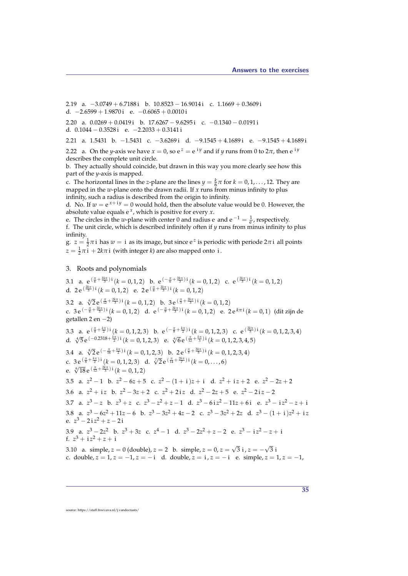2.19 a.  $-3.0749 + 6.7188$  i b.  $10.8523 - 16.9014$  i c.  $1.1669 + 0.3609$  i d.  $-2.6599 + 1.9870$  i e.  $-0.6065 + 0.0010$  i

2.20 a.  $0.0269 + 0.0419i$  b.  $17.6267 - 9.6295i$  c.  $-0.1340 - 0.0191i$ d.  $0.1044 - 0.3528i$  e.  $-2.2033 + 0.3141i$ 

2.21 a. 1.5431 b. −1.5431 c. −3.6269 i d. −9.1545 + 4.1689 i e. −9.1545 + 4.1689 i

2.22 a. On the *y*-axis we have  $x = 0$ , so  $e^z = e^{iy}$  and if *y* runs from 0 to 2 $\pi$ , then  $e^{iy}$ describes the complete unit circle.

b. They actually should coincide, but drawn in this way you more clearly see how this part of the *y*-axis is mapped.

c. The horizontal lines in the *z*-plane are the lines  $y = \frac{k}{6}\pi$  for  $k = 0, 1, ..., 12$ . They are mapped in the *w*-plane onto the drawn radii. If *x* runs from minus infinity to plus infinity, such a radius is described from the origin to infinity.

d. No. If  $w = e^{x+iy} = 0$  would hold, then the absolute value would be 0. However, the absolute value equals e *<sup>x</sup>* , which is positive for every *x*.

e. The circles in the *w*-plane with center 0 and radius e and e<sup>-1</sup> =  $\frac{1}{e}$ , respectively. f. The unit circle, which is described infinitely often if *y* runs from minus infinity to plus infinity.

g.  $z = \frac{1}{2}\pi i$  has  $w = i$  as its image, but since  $e^z$  is periodic with periode  $2\pi i$  all points  $z = \frac{1}{2}\pi i + 2k\pi i$  (with integer *k*) are also mapped onto i.

#### 3. Roots and polynomials

3.1 a.  $e^{(\frac{\pi}{6} + \frac{2k\pi}{3})i}$  ( $k = 0, 1, 2$ ) b.  $e^{(-\frac{\pi}{6} + \frac{2k\pi}{3})i}$  ( $k = 0, 1, 2$ ) c.  $e^{(\frac{2k\pi}{3})i}$  ( $k = 0, 1, 2$ ) d. 2 e  $\left(\frac{2k\pi}{3}\right)^{\frac{1}{2}}$  (*k* = 0, 1, 2) e. 2 e  $\left(\frac{\pi}{6} + \frac{2k\pi}{3}\right)^{\frac{1}{2}}$  (*k* = 0, 1, 2) 3.2 a.  $\sqrt[6]{2}e^{(\frac{\pi}{12} + \frac{2k\pi}{3})i}$  (*k* = 0, 1, 2) b. 3 e  $(\frac{\pi}{3} + \frac{2k\pi}{3})i$  (*k* = 0, 1, 2) c. 3 e <sup>(−παραβ</sup>)<sup>i</sup> (*k* = 0,1,2) d. e <sup>(−παβ)</sup><sup>2</sup> i (*k* = 0,1,2) e. 2 e <sup>*kπ* i</sup> (*k* = 0,1) (dit zijn de getallen 2 en −2) 3.3 a. e  $(\frac{\pi}{4} + \frac{k\pi}{2})^{\frac{1}{2}}$  (*k* = 0, 1, 2, 3) b. e  $\left(-\frac{\pi}{8} + \frac{k\pi}{2}\right)^{\frac{1}{2}}$  (*k* = 0, 1, 2, 3) c. e  $\left(\frac{2k\pi}{5}\right)^{\frac{1}{2}}$  (*k* = 0, 1, 2, 3, 4) d.  $\sqrt[4]{5}e^{(-0.2318+\frac{k\pi}{2})i}$  (*k* = 0, 1, 2, 3) e.  $\sqrt[6]{6}e^{(\frac{\pi}{12}+\frac{k\pi}{3})i}$  (*k* = 0, 1, 2, 3, 4, 5) 3.4 a.  $\sqrt[8]{2}e^{(-\frac{\pi}{16}+\frac{k\pi}{2})i}$  (*k* = 0, 1, 2, 3) b. 2 e<sup>( $\frac{\pi}{5}+\frac{2k\pi}{5}$ )<sup>i</sup> (*k* = 0, 1, 2, 3, 4)</sup> c. 3 e  $(\frac{\pi}{6} + \frac{k\pi}{2})$  i  $(k = 0, 1, 2, 3)$  d.  $\sqrt{2}$  e  $(\frac{\pi}{14} + \frac{2k\pi}{7})$  i  $(k = 0, ..., 6)$ e.  $\sqrt[6]{18}e^{(\frac{\pi}{12} + \frac{2k\pi}{3})i}$  (*k* = 0, 1, 2) 3.5 a.  $z^2-1$  b.  $z^2-6z+5$  c.  $z^2-(1+i)z+i$  d.  $z^2+i z+2$  e.  $z^2-2z+2$ 3.6 a.  $z^2 + iz$  b.  $z^2 - 3z + 2$  c.  $z^2 + 2iz$  d.  $z^2 - 2z + 5$  e.  $z^2 - 2iz - 2$ 3.7 a.  $z^3 - z$  b.  $z^3 + z$  c.  $z^3 - z^2 + z - 1$  d.  $z^3 - 6iz^2 - 11z + 6i$  e.  $z^3 - iz^2 - z + i$ 3.8 a.  $z^3 - 6z^2 + 11z - 6$  b.  $z^3 - 3z^2 + 4z - 2$  c.  $z^3 - 3z^2 + 2z$  d.  $z^3 - (1 + i)z^2 + iz$ e.  $z^3 - 2iz^2 + z - 2i$ 3.9 a.  $z^3 - 2z^2$  b.  $z^3 + 3z$  c.  $z^4 - 1$  d.  $z^3 - 2z^2 + z - 2$  e.  $z^3 - iz^2 - z + i$ f.  $z^3 + iz^2 + z + i$ 3.10 a. simple,  $z = 0$  (double),  $z = 2$  b. simple,  $z = 0$ ,  $z = \sqrt{3}$  i,  $z = -\sqrt{3}$ 3 i c. double,  $z = 1$ ,  $z = -1$ ,  $z = -i$  d. double,  $z = i$ ,  $z = -i$  e. simple,  $z = 1$ ,  $z = -1$ ,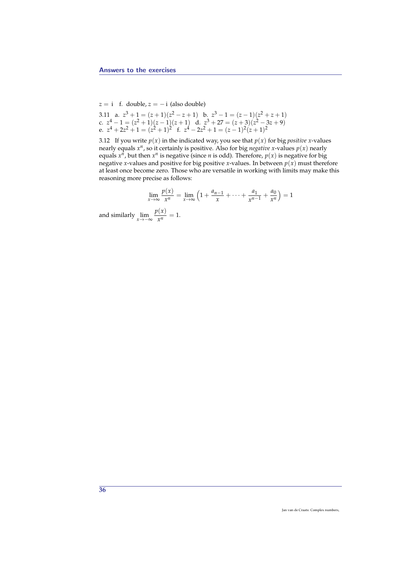*z* = i f. double, *z* = − i (also double)

3.11 **a.** 
$$
z^3 + 1 = (z+1)(z^2 - z + 1)
$$
 **b.**  $z^3 - 1 = (z-1)(z^2 + z + 1)$   
\n**c.**  $z^4 - 1 = (z^2 + 1)(z - 1)(z + 1)$  **d.**  $z^3 + 27 = (z+3)(z^2 - 3z + 9)$   
\n**e.**  $z^4 + 2z^2 + 1 = (z^2 + 1)^2$  **f.**  $z^4 - 2z^2 + 1 = (z-1)^2(z + 1)^2$ 

3.12 If you write  $p(x)$  in the indicated way, you see that  $p(x)$  for big *positive x*-values nearly equals  $x^n$ , so it certainly is positive. Also for big *negative x*-values  $p(x)$  nearly equals  $x^n$ , but then  $x^n$  is negative (since *n* is odd). Therefore,  $p(x)$  is negative for big negative *x*-values and positive for big positive *x*-values. In between  $p(x)$  must therefore at least once become zero. Those who are versatile in working with limits may make this reasoning more precise as follows:

$$
\lim_{x \to \infty} \frac{p(x)}{x^n} = \lim_{x \to \infty} \left( 1 + \frac{a_{n-1}}{x} + \dots + \frac{a_1}{x^{n-1}} + \frac{a_0}{x^n} \right) = 1
$$

and similarly  $\lim_{x \to -\infty} \frac{p(x)}{x^n}$  $\frac{\lambda^{(n)}}{x^n} = 1.$